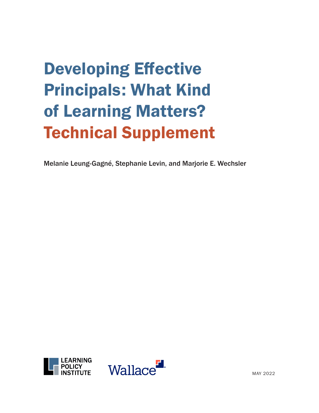# Developing Effective Principals: What Kind of Learning Matters? Technical Supplement

Melanie Leung-Gagné, Stephanie Levin, and Marjorie E. Wechsler



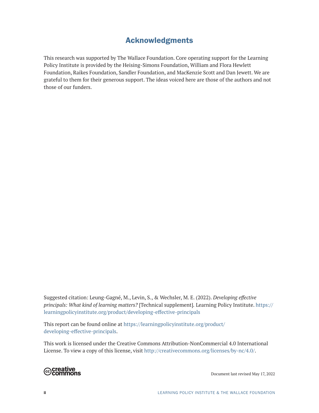# Acknowledgments

This research was supported by The Wallace Foundation. Core operating support for the Learning Policy Institute is provided by the Heising-Simons Foundation, William and Flora Hewlett Foundation, Raikes Foundation, Sandler Foundation, and MacKenzie Scott and Dan Jewett. We are grateful to them for their generous support. The ideas voiced here are those of the authors and not those of our funders.

Suggested citation: Leung-Gagné, M., Levin, S., & Wechsler, M. E. (2022). *Developing effective principals: What kind of learning matters?* [Technical supplement]*.* Learning Policy Institute. [https://](https://learningpolicyinstitute.org/product/developing-effective-principals) [learningpolicyinstitute.org/product/developing-effective-principals](https://learningpolicyinstitute.org/product/developing-effective-principals)

This report can be found online at [https://learningpolicyinstitute.org/product/](https://learningpolicyinstitute.org/product/developing-effective-principals) [developing-effective-principals](https://learningpolicyinstitute.org/product/developing-effective-principals).

This work is licensed under the Creative Commons Attribution-NonCommercial 4.0 International License. To view a copy of this license, visit http://creativecommons.org/licenses/by-nc/4.0/.



Document last revised May 17, 2022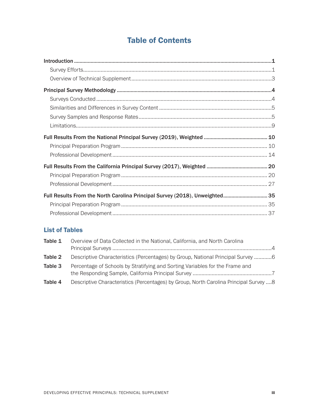# Table of Contents

| $\label{lem:1} \mbox{Introduction} \,\, \ldots \,\, \ldots \,\, \ldots \,\, \ldots \,\, \ldots \,\, \ldots \,\, \ldots \,\, \ldots \,\, \ldots \,\, \ldots \,\, \ldots \,\, \ldots \,\, \ldots \,\, \ldots \,\, \ldots \,\, \ldots \,\, \ldots \,\, \ldots \,\, \ldots \,\, \ldots \,\, \ldots \,\, \ldots \,\, \ldots \,\, \ldots \,\, \ldots \,\, \ldots \,\, \ldots \,\, \ldots \,\, \ldots \,\, \ldots \,\, \ldots \,\, \ldots \,\, \ldots \,\, \ldots \,\,$ |  |
|------------------------------------------------------------------------------------------------------------------------------------------------------------------------------------------------------------------------------------------------------------------------------------------------------------------------------------------------------------------------------------------------------------------------------------------------------------------|--|
|                                                                                                                                                                                                                                                                                                                                                                                                                                                                  |  |
|                                                                                                                                                                                                                                                                                                                                                                                                                                                                  |  |
|                                                                                                                                                                                                                                                                                                                                                                                                                                                                  |  |
|                                                                                                                                                                                                                                                                                                                                                                                                                                                                  |  |
|                                                                                                                                                                                                                                                                                                                                                                                                                                                                  |  |
|                                                                                                                                                                                                                                                                                                                                                                                                                                                                  |  |
|                                                                                                                                                                                                                                                                                                                                                                                                                                                                  |  |
|                                                                                                                                                                                                                                                                                                                                                                                                                                                                  |  |
|                                                                                                                                                                                                                                                                                                                                                                                                                                                                  |  |
|                                                                                                                                                                                                                                                                                                                                                                                                                                                                  |  |
|                                                                                                                                                                                                                                                                                                                                                                                                                                                                  |  |
|                                                                                                                                                                                                                                                                                                                                                                                                                                                                  |  |
|                                                                                                                                                                                                                                                                                                                                                                                                                                                                  |  |
| Full Results From the North Carolina Principal Survey (2018), Unweighted 35                                                                                                                                                                                                                                                                                                                                                                                      |  |
|                                                                                                                                                                                                                                                                                                                                                                                                                                                                  |  |
|                                                                                                                                                                                                                                                                                                                                                                                                                                                                  |  |

## List of Tables

| Table 1 | Overview of Data Collected in the National, California, and North Carolina             | $\overline{4}$ |
|---------|----------------------------------------------------------------------------------------|----------------|
|         |                                                                                        |                |
| Table 2 | Descriptive Characteristics (Percentages) by Group, National Principal Survey 6        |                |
| Table 3 | Percentage of Schools by Stratifying and Sorting Variables for the Frame and           |                |
| Table 4 | Descriptive Characteristics (Percentages) by Group, North Carolina Principal Survey  8 |                |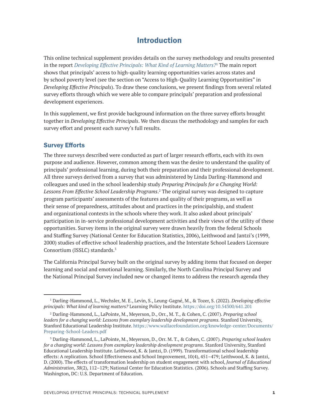## Introduction

<span id="page-4-0"></span>This online technical supplement provides details on the survey methodology and results presented in the report *[Developing Effective Principals: What Kind of Learning Matters?](https://learningpolicyinstitute.org/product/developing-effective-principals)*<sup>1</sup> The main report shows that principals' access to high-quality learning opportunities varies across states and by school poverty level (see the section on "Access to High-Quality Learning Opportunities" in *Developing Effective Principals*). To draw these conclusions, we present findings from several related survey efforts through which we were able to compare principals' preparation and professional development experiences.

In this supplement, we first provide background information on the three survey efforts brought together in *Developing Effective Principals*. We then discuss the methodology and samples for each survey effort and present each survey's full results.

## Survey Efforts

The three surveys described were conducted as part of larger research efforts, each with its own purpose and audience. However, common among them was the desire to understand the quality of principals' professional learning, during both their preparation and their professional development. All three surveys derived from a survey that was administered by Linda Darling-Hammond and colleagues and used in the school leadership study *Preparing Principals for a Changing World:*  Lessons From Effective School Leadership Programs.<sup>2</sup> The original survey was designed to capture program participants' assessments of the features and quality of their programs, as well as their sense of preparedness, attitudes about and practices in the principalship, and student and organizational contexts in the schools where they work. It also asked about principals' participation in in-service professional development activities and their views of the utility of these opportunities. Survey items in the original survey were drawn heavily from the federal Schools and Staffing Survey (National Center for Education Statistics, 2006), Leithwood and Jantzi's (1999, 2000) studies of effective school leadership practices, and the Interstate School Leaders Licensure Consortium (ISSLC) standards.3

The California Principal Survey built on the original survey by adding items that focused on deeper learning and social and emotional learning. Similarly, the North Carolina Principal Survey and the National Principal Survey included new or changed items to address the research agenda they

<sup>1</sup> Darling-Hammond, L., Wechsler, M. E., Levin, S., Leung-Gagné, M., & Tozer, S. (2022). *Developing effective principals: What kind of learning matters?* Learning Policy Institute. <https://doi.org/10.54300/641.201>

<sup>2</sup> Darling-Hammond, L., LaPointe, M., Meyerson, D., Orr., M. T., & Cohen, C. (2007). *Preparing school leaders for a changing world: Lessons from exemplary leadership development programs.* Stanford University, Stanford Educational Leadership Institute. [https://www.wallacefoundation.org/knowledge-center/Documents/](https://www.wallacefoundation.org/knowledge-center/Documents/Preparing-School-Leaders.pdf) [Preparing-School-Leaders.pdf](https://www.wallacefoundation.org/knowledge-center/Documents/Preparing-School-Leaders.pdf)

<sup>3</sup> Darling-Hammond, L., LaPointe, M., Meyerson, D., Orr. M. T., & Cohen, C. (2007). *Preparing school leaders for a changing world: Lessons from exemplary leadership development programs*. Stanford University, Stanford Educational Leadership Institute. Leithwood, K. & Jantzi, D. (1999). Transformational school leadership effects: A replication. School Effectiveness and School Improvement, 10(4), 451–479; Leithwood, K. & Jantzi, D. (2000). The effects of transformation leadership on student engagement with school, *Journal of Educational Administration*, *38*(2), 112–129; National Center for Education Statistics. (2006). Schools and Staffing Survey. Washington, DC: U.S. Department of Education.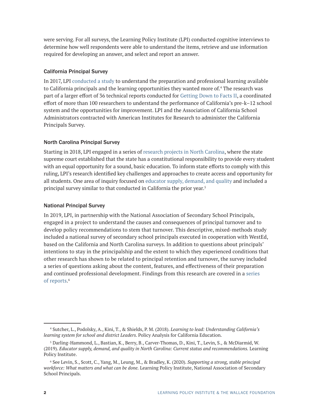were serving. For all surveys, the Learning Policy Institute (LPI) conducted cognitive interviews to determine how well respondents were able to understand the items, retrieve and use information required for developing an answer, and select and report an answer.

#### California Principal Survey

In 2017, LPI [conducted a study](https://gettingdowntofacts.com/publications/learning-lead-understanding-californias-learning-system-school-and-district-leaders) to understand the preparation and professional learning available to California principals and the learning opportunities they wanted more of.4 The research was part of a larger effort of 36 technical reports conducted for [Getting Down to Facts II](https://gettingdowntofacts.com/summary), a coordinated effort of more than 100 researchers to understand the performance of California's pre-k–12 school system and the opportunities for improvement. LPI and the Association of California School Administrators contracted with American Institutes for Research to administer the California Principals Survey.

#### North Carolina Principal Survey

Starting in 2018, LPI engaged in a series of [research projects in North Carolina](https://learningpolicyinstitute.org/project/leandro-state-policy-north-carolina), where the state supreme court established that the state has a constitutional responsibility to provide every student with an equal opportunity for a sound, basic education. To inform state efforts to comply with this ruling, LPI's research identified key challenges and approaches to create access and opportunity for all students. One area of inquiry focused on [educator supply, demand, and quality](https://learningpolicyinstitute.org/sites/default/files/product-files/Leandro_Educator_Workforce_REPORT.pdf) and included a principal survey similar to that conducted in California the prior year.5

#### National Principal Survey

In 2019, LPI, in partnership with the National Association of Secondary School Principals, engaged in a project to understand the causes and consequences of principal turnover and to develop policy recommendations to stem that turnover. This descriptive, mixed-methods study included a national survey of secondary school principals executed in cooperation with WestEd, based on the California and North Carolina surveys. In addition to questions about principals' intentions to stay in the principalship and the extent to which they experienced conditions that other research has shown to be related to principal retention and turnover, the survey included a series of questions asking about the content, features, and effectiveness of their preparation and continued professional development. Findings from this research are covered in a [series](https://learningpolicyinstitute.org/project/nassp-principal-turnover-research-series)  of [reports](https://learningpolicyinstitute.org/project/nassp-principal-turnover-research-series). 6

<sup>4</sup> Sutcher, L., Podolsky, A., Kini, T., & Shields, P. M. (2018). *Learning to lead: Understanding California's learning system for school and district Leaders*. Policy Analysis for California Education.

<sup>5</sup> Darling-Hammond, L., Bastian, K., Berry, B., Carver-Thomas, D., Kini, T., Levin, S., & McDiarmid, W. (2019). *Educator supply, demand, and quality in North Carolina: Current status and recommendations.* Learning Policy Institute.

<sup>6</sup> See Levin, S., Scott, C., Yang, M., Leung, M., & Bradley, K. (2020). *Supporting a strong, stable principal workforce: What matters and what can be done.* Learning Policy Institute, National Association of Secondary School Principals.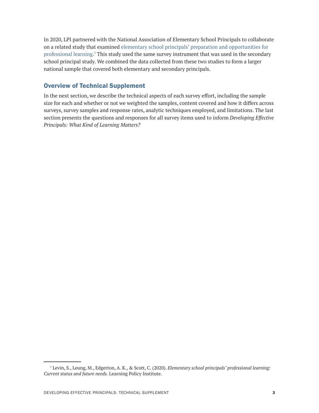<span id="page-6-0"></span>In 2020, LPI partnered with the National Association of Elementary School Principals to collaborate on a related study that examined [elementary school principals' preparation and opportunities for](https://learningpolicyinstitute.org/product/elementary-school-principals-professional-learning-report)  [professional learning](https://learningpolicyinstitute.org/product/elementary-school-principals-professional-learning-report).<sup>7</sup> This study used the same survey instrument that was used in the secondary school principal study. We combined the data collected from these two studies to form a larger national sample that covered both elementary and secondary principals.

## Overview of Technical Supplement

In the next section, we describe the technical aspects of each survey effort, including the sample size for each and whether or not we weighted the samples, content covered and how it differs across surveys, survey samples and response rates, analytic techniques employed, and limitations. The last section presents the questions and responses for all survey items used to inform *Developing Effective Principals: What Kind of Learning Matters?*

<sup>7</sup> Levin, S., Leung, M., Edgerton, A. K., & Scott, C. (2020). *Elementary school principals' professional learning: Current status and future needs.* Learning Policy Institute.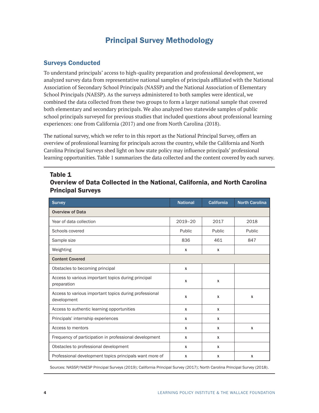# Principal Survey Methodology

## <span id="page-7-0"></span>Surveys Conducted

To understand principals' access to high-quality preparation and professional development, we analyzed survey data from representative national samples of principals affiliated with the National Association of Secondary School Principals (NASSP) and the National Association of Elementary School Principals (NAESP). As the surveys administered to both samples were identical, we combined the data collected from these two groups to form a larger national sample that covered both elementary and secondary principals. We also analyzed two statewide samples of public school principals surveyed for previous studies that included questions about professional learning experiences: one from California (2017) and one from North Carolina (2018).

The national survey, which we refer to in this report as the National Principal Survey, offers an overview of professional learning for principals across the country, while the California and North Carolina Principal Surveys shed light on how state policy may influence principals' professional learning opportunities. Table 1 summarizes the data collected and the content covered by each survey.

| <b>Survey</b>                                                         | <b>National</b>           | <b>California</b> | <b>North Carolina</b> |
|-----------------------------------------------------------------------|---------------------------|-------------------|-----------------------|
| <b>Overview of Data</b>                                               |                           |                   |                       |
| Year of data collection                                               | $2019 - 20$               | 2017              | 2018                  |
| Schools covered                                                       | Public                    | Public            | Public                |
| Sample size                                                           | 836                       | 461               | 847                   |
| Weighting                                                             | $\boldsymbol{\mathsf{x}}$ | $\boldsymbol{x}$  |                       |
| <b>Content Covered</b>                                                |                           |                   |                       |
| Obstacles to becoming principal                                       | $\mathbf x$               |                   |                       |
| Access to various important topics during principal<br>preparation    | $\boldsymbol{\mathsf{x}}$ | $\boldsymbol{x}$  |                       |
| Access to various important topics during professional<br>development | $\mathbf x$               | X                 | x                     |
| Access to authentic learning opportunities                            | $\boldsymbol{\mathsf{x}}$ | $\boldsymbol{x}$  |                       |
| Principals' internship experiences                                    | $\mathsf{x}$              | x                 |                       |
| Access to mentors                                                     | X                         | X                 | x                     |
| Frequency of participation in professional development                | $\boldsymbol{\mathsf{x}}$ | X                 |                       |
| Obstacles to professional development                                 | $\mathsf{x}$              | X                 |                       |
| Professional development topics principals want more of               | $\boldsymbol{\mathsf{x}}$ | x                 | X                     |

## Table 1 Overview of Data Collected in the National, California, and North Carolina Principal Surveys

Sources: NASSP/NAESP Principal Surveys (2019); California Principal Survey (2017); North Carolina Principal Survey (2018).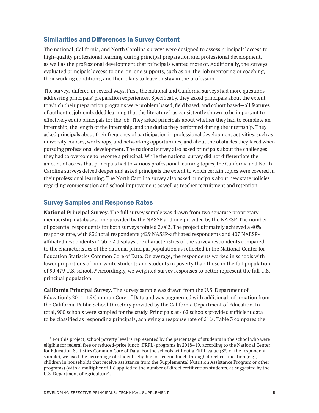## <span id="page-8-0"></span>Similarities and Differences in Survey Content

The national, California, and North Carolina surveys were designed to assess principals' access to high-quality professional learning during principal preparation and professional development, as well as the professional development that principals wanted more of. Additionally, the surveys evaluated principals' access to one-on-one supports, such as on-the-job mentoring or coaching, their working conditions, and their plans to leave or stay in the profession.

The surveys differed in several ways. First, the national and California surveys had more questions addressing principals' preparation experiences. Specifically, they asked principals about the extent to which their preparation programs were problem based, field based, and cohort based—all features of authentic, job-embedded learning that the literature has consistently shown to be important to effectively equip principals for the job. They asked principals about whether they had to complete an internship, the length of the internship, and the duties they performed during the internship. They asked principals about their frequency of participation in professional development activities, such as university courses, workshops, and networking opportunities, and about the obstacles they faced when pursuing professional development. The national survey also asked principals about the challenges they had to overcome to become a principal. While the national survey did not differentiate the amount of access that principals had to various professional learning topics, the California and North Carolina surveys delved deeper and asked principals the extent to which certain topics were covered in their professional learning. The North Carolina survey also asked principals about new state policies regarding compensation and school improvement as well as teacher recruitment and retention.

## Survey Samples and Response Rates

**National Principal Survey.** The full survey sample was drawn from two separate proprietary membership databases: one provided by the NASSP and one provided by the NAESP. The number of potential respondents for both surveys totaled 2,062. The project ultimately achieved a 40% response rate, with 836 total respondents (429 NASSP-affiliated respondents and 407 NAESPaffiliated respondents). Table 2 displays the characteristics of the survey respondents compared to the characteristics of the national principal population as reflected in the National Center for Education Statistics Common Core of Data. On average, the respondents worked in schools with lower proportions of non-white students and students in poverty than those in the full population of 90,479 U.S. schools.<sup>8</sup> Accordingly, we weighted survey responses to better represent the full U.S. principal population.

**California Principal Survey.** The survey sample was drawn from the U.S. Department of Education's 2014–15 Common Core of Data and was augmented with additional information from the California Public School Directory provided by the California Department of Education. In total, 900 schools were sampled for the study. Principals at 462 schools provided sufficient data to be classified as responding principals, achieving a response rate of 51%. Table 3 compares the

<sup>8</sup> For this project, school poverty level is represented by the percentage of students in the school who were eligible for federal free or reduced-price lunch (FRPL) programs in 2018–19, according to the National Center for Education Statistics Common Core of Data. For the schools without a FRPL value (8% of the respondent sample), we used the percentage of students eligible for federal lunch through direct certification (e.g., children in households that receive assistance from the Supplemental Nutrition Assistance Program or other programs) (with a multiplier of 1.6 applied to the number of direct certification students, as suggested by the U.S. Department of Agriculture).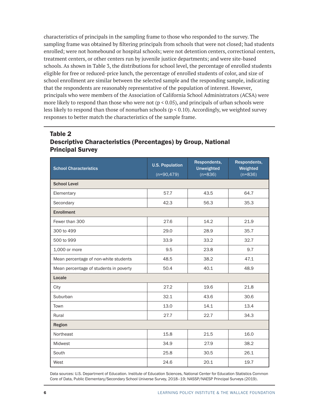<span id="page-9-0"></span>characteristics of principals in the sampling frame to those who responded to the survey. The sampling frame was obtained by filtering principals from schools that were not closed; had students enrolled; were not homebound or hospital schools; were not detention centers, correctional centers, treatment centers, or other centers run by juvenile justice departments; and were site-based schools. As shown in Table 3, the distributions for school level, the percentage of enrolled students eligible for free or reduced-price lunch, the percentage of enrolled students of color, and size of school enrollment are similar between the selected sample and the responding sample, indicating that the respondents are reasonably representative of the population of interest. However, principals who were members of the Association of California School Administrators (ACSA) were more likely to respond than those who were not ( $p < 0.05$ ), and principals of urban schools were less likely to respond than those of nonurban schools ( $p < 0.10$ ). Accordingly, we weighted survey responses to better match the characteristics of the sample frame.

## Table 2 Descriptive Characteristics (Percentages) by Group, National Principal Survey

| <b>School Characteristics</b>          | <b>U.S. Population</b><br>$(n=90,479)$ | Respondents,<br><b>Unweighted</b><br>$(n=836)$ | Respondents,<br>Weighted<br>$(n=836)$ |
|----------------------------------------|----------------------------------------|------------------------------------------------|---------------------------------------|
| <b>School Level</b>                    |                                        |                                                |                                       |
| Elementary                             | 57.7                                   | 43.5                                           | 64.7                                  |
| Secondary                              | 42.3                                   | 56.3                                           | 35.3                                  |
| <b>Enrollment</b>                      |                                        |                                                |                                       |
| Fewer than 300                         | 27.6                                   | 14.2                                           | 21.9                                  |
| 300 to 499                             | 29.0                                   | 28.9                                           | 35.7                                  |
| 500 to 999                             | 33.9                                   | 33.2                                           | 32.7                                  |
| 1,000 or more                          | 9.5                                    | 23.8                                           | 9.7                                   |
| Mean percentage of non-white students  | 48.5                                   | 38.2                                           | 47.1                                  |
| Mean percentage of students in poverty | 50.4                                   | 40.1                                           | 48.9                                  |
| Locale                                 |                                        |                                                |                                       |
| City                                   | 27.2                                   | 19.6                                           | 21.8                                  |
| Suburban                               | 32.1                                   | 43.6                                           | 30.6                                  |
| Town                                   | 13.0                                   | 14.1                                           | 13.4                                  |
| Rural                                  | 27.7                                   | 22.7                                           | 34.3                                  |
| Region                                 |                                        |                                                |                                       |
| Northeast                              | 15.8                                   | 21.5                                           | 16.0                                  |
| Midwest                                | 34.9                                   | 27.9                                           | 38.2                                  |
| South                                  | 25.8                                   | 30.5                                           | 26.1                                  |
| West                                   | 24.6                                   | 20.1                                           | 19.7                                  |

Data sources: U.S. Department of Education. Institute of Education Sciences, National Center for Education Statistics Common Core of Data, Public Elementary/Secondary School Universe Survey, 2018–19; NASSP/NAESP Principal Surveys (2019).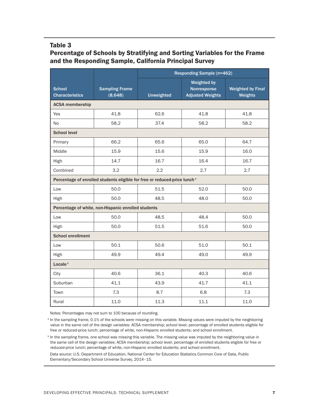#### <span id="page-10-0"></span>Table 3

## Percentage of Schools by Stratifying and Sorting Variables for the Frame and the Responding Sample, California Principal Survey

|                                         |                                                                                       | Responding Sample (n=462) |                                                              |                                     |  |  |
|-----------------------------------------|---------------------------------------------------------------------------------------|---------------------------|--------------------------------------------------------------|-------------------------------------|--|--|
| <b>School</b><br><b>Characteristics</b> | <b>Sampling Frame</b><br>(8,648)                                                      | <b>Unweighted</b>         | <b>Weighted by</b><br>Nonresponse<br><b>Adjusted Weights</b> | <b>Weighted by Final</b><br>Weights |  |  |
| <b>ACSA</b> membership                  |                                                                                       |                           |                                                              |                                     |  |  |
| <b>Yes</b>                              | 41.8                                                                                  | 62.6                      | 41.8                                                         | 41.8                                |  |  |
| No.                                     | 58.2                                                                                  | 37.4                      | 58.2                                                         | 58.2                                |  |  |
| <b>School level</b>                     |                                                                                       |                           |                                                              |                                     |  |  |
| Primary                                 | 66.2                                                                                  | 65.6                      | 65.0                                                         | 64.7                                |  |  |
| Middle                                  | 15.9                                                                                  | 15.6                      | 15.9                                                         | 16.0                                |  |  |
| High                                    | 14.7                                                                                  | 16.7                      | 16.4                                                         | 16.7                                |  |  |
| Combined                                | 3.2                                                                                   | $2.2^{\circ}$             | 2.7                                                          | 2.7                                 |  |  |
|                                         | Percentage of enrolled students eligible for free or reduced-price lunch <sup>a</sup> |                           |                                                              |                                     |  |  |
| Low                                     | 50.0                                                                                  | 51.5                      | 52.0                                                         | 50.0                                |  |  |
| High                                    | 50.0                                                                                  | 48.5                      | 48.0                                                         | 50.0                                |  |  |
|                                         | Percentage of white, non-Hispanic enrolled students                                   |                           |                                                              |                                     |  |  |
| Low                                     | 50.0                                                                                  | 48.5                      | 48.4                                                         | 50.0                                |  |  |
| High                                    | 50.0                                                                                  | 51.5                      | 51.6                                                         | 50.0                                |  |  |
| <b>School enrollment</b>                |                                                                                       |                           |                                                              |                                     |  |  |
| Low                                     | 50.1                                                                                  | 50.6                      | 51.0                                                         | 50.1                                |  |  |
| High                                    | 49.9                                                                                  | 49.4                      | 49.0                                                         | 49.9                                |  |  |
| Locale <sup>b</sup>                     |                                                                                       |                           |                                                              |                                     |  |  |
| City                                    | 40.6                                                                                  | 36.1                      | 40.3                                                         | 40.6                                |  |  |
| Suburban                                | 41.1                                                                                  | 43.9                      | 41.7                                                         | 41.1                                |  |  |
| Town                                    | 7.3                                                                                   | 8.7                       | 6.8                                                          | 7.3                                 |  |  |
| Rural                                   | 11.0                                                                                  | 11.3                      | 11.1                                                         | 11.0                                |  |  |

Notes: Percentages may not sum to 100 because of rounding.

<sup>a</sup> In the sampling frame, 0.1% of the schools were missing on this variable. Missing values were imputed by the neighboring value in the same cell of the design variables: ACSA membership; school level; percentage of enrolled students eligible for free or reduced-price lunch; percentage of white, non-Hispanic enrolled students; and school enrollment.

<sup>b</sup> In the sampling frame, one school was missing this variable. The missing value was imputed by the neighboring value in the same cell of the design variables: ACSA membership; school level; percentage of enrolled students eligible for free or reduced-price lunch; percentage of white, non-Hispanic enrolled students; and school enrollment.

Data source: U.S. Department of Education, National Center for Education Statistics Common Core of Data, Public Elementary/Secondary School Universe Survey, 2014–15.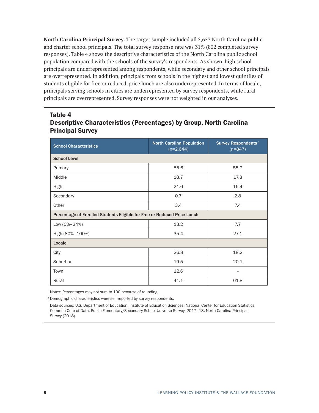<span id="page-11-0"></span>**North Carolina Principal Survey.** The target sample included all 2,657 North Carolina public and charter school principals. The total survey response rate was 31% (832 completed survey responses). Table 4 shows the descriptive characteristics of the North Carolina public school population compared with the schools of the survey's respondents. As shown, high school principals are underrepresented among respondents, while secondary and other school principals are overrepresented. In addition, principals from schools in the highest and lowest quintiles of students eligible for free or reduced-price lunch are also underrepresented. In terms of locale, principals serving schools in cities are underrepresented by survey respondents, while rural principals are overrepresented. Survey responses were not weighted in our analyses.

## Table 4 Descriptive Characteristics (Percentages) by Group, North Carolina Principal Survey

| <b>School Characteristics</b>                                            | <b>North Carolina Population</b><br>$(n=2,644)$ | <b>Survey Respondents<sup>a</sup></b><br>$(n=847)$ |  |  |  |  |
|--------------------------------------------------------------------------|-------------------------------------------------|----------------------------------------------------|--|--|--|--|
| <b>School Level</b>                                                      |                                                 |                                                    |  |  |  |  |
| Primary                                                                  | 55.6                                            | 55.7                                               |  |  |  |  |
| Middle                                                                   | 18.7                                            | 17.8                                               |  |  |  |  |
| High                                                                     | 21.6                                            | 16.4                                               |  |  |  |  |
| Secondary                                                                | 0.7                                             | 2.8                                                |  |  |  |  |
| Other                                                                    | 3.4                                             | 7.4                                                |  |  |  |  |
| Percentage of Enrolled Students Eligible for Free or Reduced-Price Lunch |                                                 |                                                    |  |  |  |  |
| Low (0%-24%)                                                             | 13.2                                            | 7.7                                                |  |  |  |  |
| High (80%-100%)                                                          | 35.4                                            | 27.1                                               |  |  |  |  |
| Locale                                                                   |                                                 |                                                    |  |  |  |  |
| City                                                                     | 26.8                                            | 18.2                                               |  |  |  |  |
| Suburban                                                                 | 19.5                                            | 20.1                                               |  |  |  |  |
| Town                                                                     | 12.6                                            |                                                    |  |  |  |  |
| Rural                                                                    | 41.1                                            | 61.8                                               |  |  |  |  |

Notes: Percentages may not sum to 100 because of rounding.

<sup>a</sup> Demographic characteristics were self-reported by survey respondents.

Data sources: U.S. Department of Education. Institute of Education Sciences, National Center for Education Statistics Common Core of Data, Public Elementary/Secondary School Universe Survey, 2017–18; North Carolina Principal Survey (2018).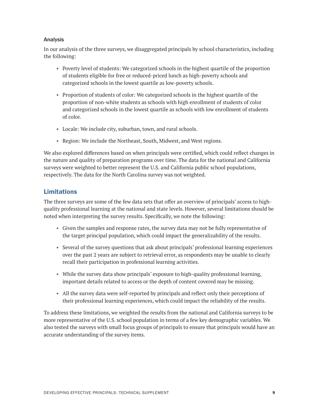#### <span id="page-12-0"></span>Analysis

In our analysis of the three surveys, we disaggregated principals by school characteristics, including the following:

- **•** Poverty level of students: We categorized schools in the highest quartile of the proportion of students eligible for free or reduced-priced lunch as high-poverty schools and categorized schools in the lowest quartile as low-poverty schools.
- **•** Proportion of students of color: We categorized schools in the highest quartile of the proportion of non-white students as schools with high enrollment of students of color and categorized schools in the lowest quartile as schools with low enrollment of students of color.
- **•** Locale: We include city, suburban, town, and rural schools.
- **•** Region: We include the Northeast, South, Midwest, and West regions.

We also explored differences based on when principals were certified, which could reflect changes in the nature and quality of preparation programs over time. The data for the national and California surveys were weighted to better represent the U.S. and California public school populations, respectively. The data for the North Carolina survey was not weighted.

## Limitations

The three surveys are some of the few data sets that offer an overview of principals' access to highquality professional learning at the national and state levels. However, several limitations should be noted when interpreting the survey results. Specifically, we note the following:

- **•** Given the samples and response rates, the survey data may not be fully representative of the target principal population, which could impact the generalizability of the results.
- **•** Several of the survey questions that ask about principals' professional learning experiences over the past 2 years are subject to retrieval error, as respondents may be unable to clearly recall their participation in professional learning activities.
- **•** While the survey data show principals' exposure to high-quality professional learning, important details related to access or the depth of content covered may be missing.
- **•** All the survey data were self-reported by principals and reflect only their perceptions of their professional learning experiences, which could impact the reliability of the results.

To address these limitations, we weighted the results from the national and California surveys to be more representative of the U.S. school population in terms of a few key demographic variables. We also tested the surveys with small focus groups of principals to ensure that principals would have an accurate understanding of the survey items.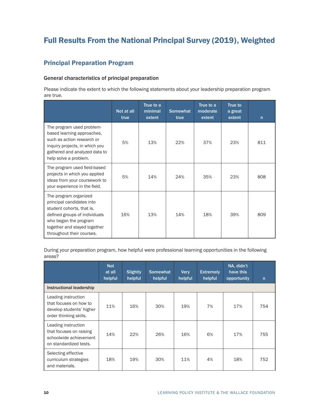# <span id="page-13-0"></span>Full Results From the National Principal Survey (2019), Weighted

## Principal Preparation Program

#### General characteristics of principal preparation

Please indicate the extent to which the following statements about your leadership preparation program are true.

|                                                                                                                                                                                                        | Not at all<br>true | True to a<br>minimal<br>extent | <b>Somewhat</b><br>true | True to a<br>moderate<br>extent | True to<br>a great<br>extent | n   |
|--------------------------------------------------------------------------------------------------------------------------------------------------------------------------------------------------------|--------------------|--------------------------------|-------------------------|---------------------------------|------------------------------|-----|
| The program used problem-<br>based learning approaches,<br>such as action research or<br>inquiry projects, in which you<br>gathered and analyzed data to<br>help solve a problem.                      | 5%                 | 13%                            | 22%                     | 37%                             | 23%                          | 811 |
| The program used field-based<br>projects in which you applied<br>ideas from your coursework to<br>your experience in the field.                                                                        | 5%                 | 14%                            | 24%                     | 35%                             | 23%                          | 808 |
| The program organized<br>principal candidates into<br>student cohorts, that is,<br>defined groups of individuals<br>who began the program<br>together and stayed together<br>throughout their courses. | 16%                | 13%                            | 14%                     | 18%                             | 39%                          | 809 |

During your preparation program, how helpful were professional learning opportunities in the following areas?

|                                                                                                     | <b>Not</b><br>at all<br>helpful | <b>Slightly</b><br>helpful | <b>Somewhat</b><br>helpful | Very<br>helpful | <b>Extremely</b><br>helpful | NA, didn't<br>have this<br>opportunity | $\mathsf{n}$ |
|-----------------------------------------------------------------------------------------------------|---------------------------------|----------------------------|----------------------------|-----------------|-----------------------------|----------------------------------------|--------------|
| Instructional leadership                                                                            |                                 |                            |                            |                 |                             |                                        |              |
| Leading instruction<br>that focuses on how to<br>develop students' higher<br>order thinking skills. | 11%                             | 16%                        | 30%                        | 19%             | 7%                          | 17%                                    | 754          |
| Leading instruction<br>that focuses on raising<br>schoolwide achievement<br>on standardized tests.  | 14%                             | 22%                        | 26%                        | 16%             | 6%                          | 17%                                    | 755          |
| Selecting effective<br>curriculum strategies<br>and materials.                                      | 18%                             | 19%                        | 30%                        | 11%             | 4%                          | 18%                                    | 752          |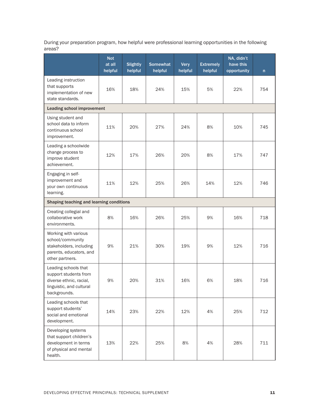During your preparation program, how helpful were professional learning opportunities in the following areas?

|                                                                                                                      | <b>Not</b><br>at all<br>helpful | <b>Slightly</b><br>helpful | <b>Somewhat</b><br>helpful | <b>Very</b><br>helpful | <b>Extremely</b><br>helpful | NA, didn't<br>have this<br>opportunity | n   |
|----------------------------------------------------------------------------------------------------------------------|---------------------------------|----------------------------|----------------------------|------------------------|-----------------------------|----------------------------------------|-----|
| Leading instruction<br>that supports<br>implementation of new<br>state standards.                                    | 16%                             | 18%                        | 24%                        | 15%                    | 5%                          | 22%                                    | 754 |
| Leading school improvement                                                                                           |                                 |                            |                            |                        |                             |                                        |     |
| Using student and<br>school data to inform<br>continuous school<br>improvement.                                      | 11%                             | 20%                        | 27%                        | 24%                    | 8%                          | 10%                                    | 745 |
| Leading a schoolwide<br>change process to<br>improve student<br>achievement.                                         | 12%                             | 17%                        | 26%                        | 20%                    | 8%                          | 17%                                    | 747 |
| Engaging in self-<br>improvement and<br>your own continuous<br>learning.                                             | 11%                             | 12%                        | 25%                        | 26%                    | 14%                         | 12%                                    | 746 |
| Shaping teaching and learning conditions                                                                             |                                 |                            |                            |                        |                             |                                        |     |
| Creating collegial and<br>collaborative work<br>environments.                                                        | 8%                              | 16%                        | 26%                        | 25%                    | 9%                          | 16%                                    | 718 |
| Working with various<br>school/community<br>stakeholders, including<br>parents, educators, and<br>other partners.    | 9%                              | 21%                        | 30%                        | 19%                    | 9%                          | 12%                                    | 716 |
| Leading schools that<br>support students from<br>diverse ethnic, racial,<br>linguistic, and cultural<br>backgrounds. | 9%                              | 20%                        | 31%                        | 16%                    | 6%                          | 18%                                    | 716 |
| Leading schools that<br>support students'<br>social and emotional<br>development.                                    | 14%                             | 23%                        | 22%                        | 12%                    | 4%                          | 25%                                    | 712 |
| Developing systems<br>that support children's<br>development in terms<br>of physical and mental<br>health.           | 13%                             | 22%                        | 25%                        | 8%                     | 4%                          | 28%                                    | 711 |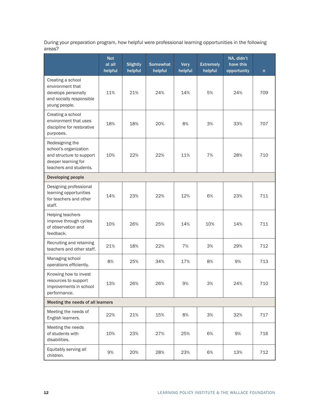During your preparation program, how helpful were professional learning opportunities in the following areas?

|                                                                                                                       | <b>Not</b><br>at all<br>helpful   | <b>Slightly</b><br>helpful | <b>Somewhat</b><br>helpful | <b>Very</b><br>helpful | <b>Extremely</b><br>helpful | NA, didn't<br>have this<br>opportunity | n   |
|-----------------------------------------------------------------------------------------------------------------------|-----------------------------------|----------------------------|----------------------------|------------------------|-----------------------------|----------------------------------------|-----|
| Creating a school<br>environment that<br>develops personally<br>and socially responsible<br>young people.             | 11%                               | 21%                        | 24%                        | 14%                    | 5%                          | 24%                                    | 709 |
| Creating a school<br>environment that uses<br>discipline for restorative<br>purposes.                                 | 18%                               | 18%                        | 20%                        | 8%                     | 3%                          | 33%                                    | 707 |
| Redesigning the<br>school's organization<br>and structure to support<br>deeper learning for<br>teachers and students. | 10%                               | 22%                        | 22%                        | 11%                    | 7%                          | 28%                                    | 710 |
| <b>Developing people</b>                                                                                              |                                   |                            |                            |                        |                             |                                        |     |
| Designing professional<br>learning opportunities<br>for teachers and other<br>staff.                                  | 14%                               | 23%                        | 22%                        | 12%                    | 6%                          | 23%                                    | 711 |
| Helping teachers<br>improve through cycles<br>of observation and<br>feedback.                                         | 10%                               | 26%                        | 25%                        | 14%                    | 10%                         | 14%                                    | 711 |
| Recruiting and retaining<br>teachers and other staff.                                                                 | 21%                               | 18%                        | 22%                        | 7%                     | 3%                          | 29%                                    | 712 |
| Managing school<br>operations efficiently.                                                                            | 8%                                | 25%                        | 34%                        | 17%                    | 8%                          | 9%                                     | 713 |
| Knowing how to invest<br>resources to support<br>improvements in school<br>performance.                               | 13%                               | 26%                        | 26%                        | 9%                     | 3%                          | 24%                                    | 710 |
|                                                                                                                       | Meeting the needs of all learners |                            |                            |                        |                             |                                        |     |
| Meeting the needs of<br>English learners.                                                                             | 22%                               | 21%                        | 15%                        | 8%                     | 3%                          | 32%                                    | 717 |
| Meeting the needs<br>of students with<br>disabilities.                                                                | 10%                               | 23%                        | 27%                        | 25%                    | 6%                          | 9%                                     | 716 |
| Equitably serving all<br>children.                                                                                    | 9%                                | 20%                        | 28%                        | 23%                    | 6%                          | 13%                                    | 712 |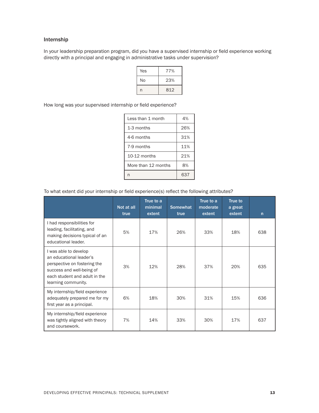#### Internship

In your leadership preparation program, did you have a supervised internship or field experience working directly with a principal and engaging in administrative tasks under supervision?

| Yes | 77% |
|-----|-----|
| No  | 23% |
| n   | 812 |

How long was your supervised internship or field experience?

| I ess than 1 month  | 4%  |
|---------------------|-----|
| 1-3 months          | 26% |
| 4-6 months          | 31% |
| 7-9 months          | 11% |
| $10-12$ months      | 21% |
| More than 12 months | 8%  |
|                     | 637 |

To what extent did your internship or field experience(s) reflect the following attributes?

|                                                                                                                                                                       | Not at all<br>true | True to a<br>minimal<br>extent | <b>Somewhat</b><br>true | True to a<br>moderate<br>extent | <b>True to</b><br>a great<br>extent | $\mathsf{n}$ |
|-----------------------------------------------------------------------------------------------------------------------------------------------------------------------|--------------------|--------------------------------|-------------------------|---------------------------------|-------------------------------------|--------------|
| I had responsibilities for<br>leading, facilitating, and<br>making decisions typical of an<br>educational leader.                                                     | 5%                 | 17%                            | 26%                     | 33%                             | 18%                                 | 638          |
| I was able to develop<br>an educational leader's<br>perspective on fostering the<br>success and well-being of<br>each student and adult in the<br>learning community. | 3%                 | 12%                            | 28%                     | 37%                             | 20%                                 | 635          |
| My internship/field experience<br>adequately prepared me for my<br>first year as a principal.                                                                         | 6%                 | 18%                            | 30%                     | 31%                             | 15%                                 | 636          |
| My internship/field experience<br>was tightly aligned with theory<br>and coursework.                                                                                  | 7%                 | 14%                            | 33%                     | 30%                             | 17%                                 | 637          |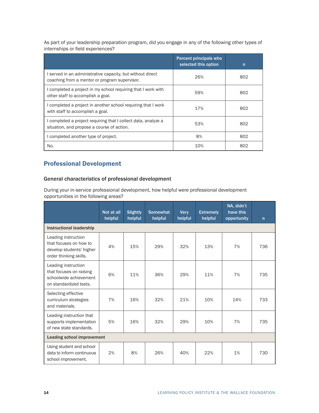<span id="page-17-0"></span>As part of your leadership preparation program, did you engage in any of the following other types of internships or field experiences?

|                                                                                                            | <b>Percent principals who</b><br>selected this option | $\mathsf{n}$ |
|------------------------------------------------------------------------------------------------------------|-------------------------------------------------------|--------------|
| served in an administrative capacity, but without direct<br>coaching from a mentor or program supervisor.  | 26%                                                   | 802          |
| completed a project in my school requiring that I work with<br>other staff to accomplish a goal.           | 59%                                                   | 802          |
| completed a project in another school requiring that I work<br>with staff to accomplish a goal.            | 17%                                                   | 802          |
| completed a project requiring that I collect data, analyze a<br>situation, and propose a course of action. | 53%                                                   | 802          |
| completed another type of project.                                                                         | 8%                                                    | 802          |
| No.                                                                                                        | 10%                                                   | 802          |

## Professional Development

#### General characteristics of professional development

During your in-service professional development, how helpful were professional development opportunities in the following areas?

|                                                                                                     | Not at all<br>helpful | <b>Slightly</b><br>helpful | <b>Somewhat</b><br>helpful | <b>Very</b><br>helpful | <b>Extremely</b><br>helpful | NA, didn't<br>have this<br>opportunity | $\mathsf{n}$ |  |  |  |
|-----------------------------------------------------------------------------------------------------|-----------------------|----------------------------|----------------------------|------------------------|-----------------------------|----------------------------------------|--------------|--|--|--|
| <b>Instructional leadership</b>                                                                     |                       |                            |                            |                        |                             |                                        |              |  |  |  |
| Leading instruction<br>that focuses on how to<br>develop students' higher<br>order thinking skills. | 4%                    | 15%                        | 29%                        | 32%                    | 13%                         | 7%                                     | 736          |  |  |  |
| Leading instruction<br>that focuses on raising<br>schoolwide achievement<br>on standardized tests.  | 6%                    | 11%                        | 36%                        | 29%                    | 11%                         | 7%                                     | 735          |  |  |  |
| Selecting effective<br>curriculum strategies<br>and materials.                                      | 7%                    | 16%                        | 32%                        | 21%                    | 10%                         | 14%                                    | 733          |  |  |  |
| Leading instruction that<br>supports implementation<br>of new state standards.                      | 5%                    | 16%                        | 32%                        | 29%                    | 10%                         | 7%                                     | 735          |  |  |  |
| <b>Leading school improvement</b>                                                                   |                       |                            |                            |                        |                             |                                        |              |  |  |  |
| Using student and school<br>data to inform continuous<br>school improvement.                        | 2%                    | 8%                         | 26%                        | 40%                    | 22%                         | 1%                                     | 730          |  |  |  |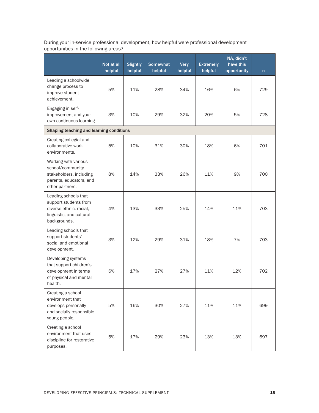| During your in-service professional development, how helpful were professional development |  |
|--------------------------------------------------------------------------------------------|--|
| opportunities in the following areas?                                                      |  |

|                                                                                                                      | Not at all<br>helpful | <b>Slightly</b><br>helpful | <b>Somewhat</b><br>helpful | <b>Very</b><br>helpful | <b>Extremely</b><br>helpful | NA, didn't<br>have this<br>opportunity | n   |
|----------------------------------------------------------------------------------------------------------------------|-----------------------|----------------------------|----------------------------|------------------------|-----------------------------|----------------------------------------|-----|
| Leading a schoolwide<br>change process to<br>improve student<br>achievement.                                         | 5%                    | 11%                        | 28%                        | 34%                    | 16%                         | 6%                                     | 729 |
| Engaging in self-<br>improvement and your<br>own continuous learning.                                                | 3%                    | 10%                        | 29%                        | 32%                    | 20%                         | 5%                                     | 728 |
| Shaping teaching and learning conditions                                                                             |                       |                            |                            |                        |                             |                                        |     |
| Creating collegial and<br>collaborative work<br>environments.                                                        | 5%                    | 10%                        | 31%                        | 30%                    | 18%                         | 6%                                     | 701 |
| Working with various<br>school/community<br>stakeholders, including<br>parents, educators, and<br>other partners.    | 8%                    | 14%                        | 33%                        | 26%                    | 11%                         | 9%                                     | 700 |
| Leading schools that<br>support students from<br>diverse ethnic, racial,<br>linguistic, and cultural<br>backgrounds. | 4%                    | 13%                        | 33%                        | 25%                    | 14%                         | 11%                                    | 703 |
| Leading schools that<br>support students'<br>social and emotional<br>development.                                    | 3%                    | 12%                        | 29%                        | 31%                    | 18%                         | 7%                                     | 703 |
| Developing systems<br>that support children's<br>development in terms<br>of physical and mental<br>health.           | 6%                    | 17%                        | 27%                        | 27%                    | 11%                         | 12%                                    | 702 |
| Creating a school<br>environment that<br>develops personally<br>and socially responsible<br>young people.            | 5%                    | 16%                        | 30%                        | 27%                    | 11%                         | 11%                                    | 699 |
| Creating a school<br>environment that uses<br>discipline for restorative<br>purposes.                                | 5%                    | 17%                        | 29%                        | 23%                    | 13%                         | 13%                                    | 697 |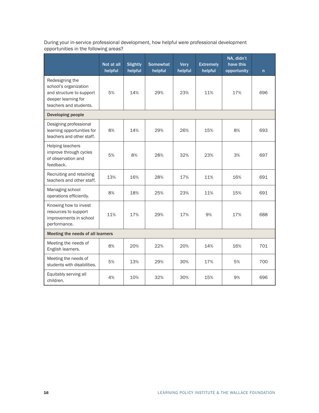During your in-service professional development, how helpful were professional development opportunities in the following areas?

|                                                                                                                       | Not at all<br>helpful | <b>Slightly</b><br>helpful | <b>Somewhat</b><br>helpful | <b>Very</b><br>helpful | <b>Extremely</b><br>helpful | NA, didn't<br>have this<br>opportunity | n   |
|-----------------------------------------------------------------------------------------------------------------------|-----------------------|----------------------------|----------------------------|------------------------|-----------------------------|----------------------------------------|-----|
| Redesigning the<br>school's organization<br>and structure to support<br>deeper learning for<br>teachers and students. | 5%                    | 14%                        | 29%                        | 23%                    | 11%                         | 17%                                    | 696 |
| Developing people                                                                                                     |                       |                            |                            |                        |                             |                                        |     |
| Designing professional<br>learning opportunities for<br>teachers and other staff.                                     | 8%                    | 14%                        | 29%                        | 26%                    | 15%                         | 8%                                     | 693 |
| Helping teachers<br>improve through cycles<br>of observation and<br>feedback.                                         | 5%                    | 8%                         | 28%                        | 32%                    | 23%                         | 3%                                     | 697 |
| Recruiting and retaining<br>teachers and other staff.                                                                 | 13%                   | 16%                        | 28%                        | 17%                    | 11%                         | 16%                                    | 691 |
| Managing school<br>operations efficiently.                                                                            | 8%                    | 18%                        | 25%                        | 23%                    | 11%                         | 15%                                    | 691 |
| Knowing how to invest<br>resources to support<br>improvements in school<br>performance.                               | 11%                   | 17%                        | 29%                        | 17%                    | 9%                          | 17%                                    | 688 |
| Meeting the needs of all learners                                                                                     |                       |                            |                            |                        |                             |                                        |     |
| Meeting the needs of<br>English learners.                                                                             | 8%                    | 20%                        | 22%                        | 20%                    | 14%                         | 16%                                    | 701 |
| Meeting the needs of<br>students with disabilities.                                                                   | 5%                    | 13%                        | 29%                        | 30%                    | 17%                         | 5%                                     | 700 |
| Equitably serving all<br>children.                                                                                    | 4%                    | 10%                        | 32%                        | 30%                    | 15%                         | 9%                                     | 696 |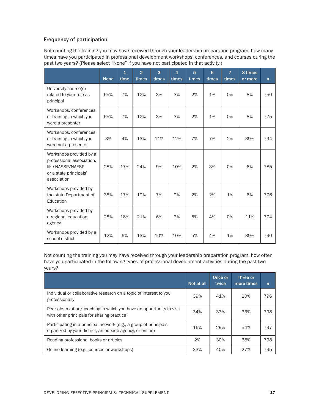#### Frequency of participation

Not counting the training you may have received through your leadership preparation program, how many times have you participated in professional development workshops, conferences, and courses during the past two years? (Please select "None" if you have not participated in that activity.)

|                                                                                                                   | <b>None</b> | $\overline{1}$<br>time | $\overline{2}$<br>times | 3<br>times | $\overline{4}$<br>times | 5<br>times | 6<br>times | $\overline{7}$<br>times | 8 times<br>or more | n   |
|-------------------------------------------------------------------------------------------------------------------|-------------|------------------------|-------------------------|------------|-------------------------|------------|------------|-------------------------|--------------------|-----|
| University course(s)<br>related to your role as<br>principal                                                      | 65%         | 7%                     | 12%                     | 3%         | 3%                      | 2%         | 1%         | 0%                      | 8%                 | 750 |
| Workshops, conferences<br>or training in which you<br>were a presenter                                            | 65%         | 7%                     | 12%                     | 3%         | 3%                      | 2%         | 1%         | 0%                      | 8%                 | 775 |
| Workshops, conferences,<br>or training in which you<br>were not a presenter                                       | 3%          | 4%                     | 13%                     | 11%        | 12%                     | 7%         | 7%         | 2%                      | 39%                | 794 |
| Workshops provided by a<br>professional association,<br>like NASSP/NAESP<br>or a state principals'<br>association | 28%         | 17%                    | 24%                     | 9%         | 10%                     | 2%         | 3%         | 0%                      | 6%                 | 785 |
| Workshops provided by<br>the state Department of<br>Education                                                     | 38%         | 17%                    | 19%                     | 7%         | 9%                      | 2%         | 2%         | 1%                      | 6%                 | 776 |
| Workshops provided by<br>a regional education<br>agency                                                           | 28%         | 18%                    | 21%                     | 6%         | 7%                      | 5%         | 4%         | 0%                      | 11%                | 774 |
| Workshops provided by a<br>school district                                                                        | 12%         | 6%                     | 13%                     | 10%        | 10%                     | 5%         | 4%         | 1%                      | 39%                | 790 |

Not counting the training you may have received through your leadership preparation program, how often have you participated in the following types of professional development activities during the past two years?

|                                                                                                                                | Not at all | Once or<br>twice | Three or<br>more times | n   |
|--------------------------------------------------------------------------------------------------------------------------------|------------|------------------|------------------------|-----|
| Individual or collaborative research on a topic of interest to you<br>professionally                                           | 39%        | 41%              | 20%                    | 796 |
| Peer observation/coaching in which you have an opportunity to visit<br>with other principals for sharing practice              | 34%        | 33%              | 33%                    | 798 |
| Participating in a principal network (e.g., a group of principals<br>organized by your district, an outside agency, or online) | 16%        | 29%              | 54%                    | 797 |
| Reading professional books or articles                                                                                         | 2%         | 30%              | 68%                    | 798 |
| Online learning (e.g., courses or workshops)                                                                                   | 33%        | 40%              | 27%                    | 795 |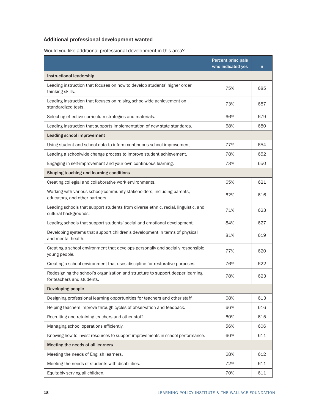## Additional professional development wanted

Would you like additional professional development in this area?

|                                                                                                              | <b>Percent principals</b><br>who indicated yes | $\mathsf{n}$ |
|--------------------------------------------------------------------------------------------------------------|------------------------------------------------|--------------|
| <b>Instructional leadership</b>                                                                              |                                                |              |
| Leading instruction that focuses on how to develop students' higher order<br>thinking skills.                | 75%                                            | 685          |
| Leading instruction that focuses on raising schoolwide achievement on<br>standardized tests.                 | 73%                                            | 687          |
| Selecting effective curriculum strategies and materials.                                                     | 66%                                            | 679          |
| Leading instruction that supports implementation of new state standards.                                     | 68%                                            | 680          |
| <b>Leading school improvement</b>                                                                            |                                                |              |
| Using student and school data to inform continuous school improvement.                                       | 77%                                            | 654          |
| Leading a schoolwide change process to improve student achievement.                                          | 78%                                            | 652          |
| Engaging in self-improvement and your own continuous learning.                                               | 73%                                            | 650          |
| Shaping teaching and learning conditions                                                                     |                                                |              |
| Creating collegial and collaborative work environments.                                                      | 65%                                            | 621          |
| Working with various school/community stakeholders, including parents,<br>educators, and other partners.     | 62%                                            | 616          |
| Leading schools that support students from diverse ethnic, racial, linguistic, and<br>cultural backgrounds.  | 71%                                            | 623          |
| Leading schools that support students' social and emotional development.                                     | 84%                                            | 627          |
| Developing systems that support children's development in terms of physical<br>and mental health.            | 81%                                            | 619          |
| Creating a school environment that develops personally and socially responsible<br>young people.             | 77%                                            | 620          |
| Creating a school environment that uses discipline for restorative purposes.                                 | 76%                                            | 622          |
| Redesigning the school's organization and structure to support deeper learning<br>for teachers and students. | 78%                                            | 623          |
| Developing people                                                                                            |                                                |              |
| Designing professional learning opportunities for teachers and other staff.                                  | 68%                                            | 613          |
| Helping teachers improve through cycles of observation and feedback.                                         | 66%                                            | 616          |
| Recruiting and retaining teachers and other staff.                                                           | 60%                                            | 615          |
| Managing school operations efficiently.                                                                      | 56%                                            | 606          |
| Knowing how to invest resources to support improvements in school performance.                               | 66%                                            | 611          |
| Meeting the needs of all learners                                                                            |                                                |              |
| Meeting the needs of English learners.                                                                       | 68%                                            | 612          |
| Meeting the needs of students with disabilities.                                                             | 72%                                            | 611          |
| Equitably serving all children.                                                                              | 70%                                            | 611          |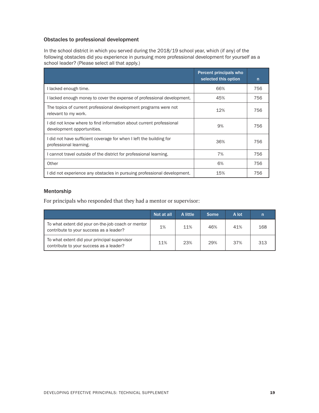#### Obstacles to professional development

In the school district in which you served during the 2018/19 school year, which (if any) of the following obstacles did you experience in pursuing more professional development for yourself as a school leader? (Please select all that apply.)

|                                                                                                   | Percent principals who<br>selected this option | n   |
|---------------------------------------------------------------------------------------------------|------------------------------------------------|-----|
| l lacked enough time.                                                                             | 66%                                            | 756 |
| I lacked enough money to cover the expense of professional development.                           | 45%                                            | 756 |
| The topics of current professional development programs were not<br>relevant to my work.          | 12%                                            | 756 |
| I did not know where to find information about current professional<br>development opportunities. | 9%                                             | 756 |
| I did not have sufficient coverage for when I left the building for<br>professional learning.     | 36%                                            | 756 |
| I cannot travel outside of the district for professional learning.                                | 7%                                             | 756 |
| Other                                                                                             | 6%                                             | 756 |
| did not experience any obstacles in pursuing professional development.                            | 15%                                            | 756 |

#### Mentorship

For principals who responded that they had a mentor or supervisor:

|                                                                                               | Not at all | A little | <b>Some</b> | A lot |     |
|-----------------------------------------------------------------------------------------------|------------|----------|-------------|-------|-----|
| To what extent did your on-the-job coach or mentor<br>contribute to your success as a leader? | 1%         | 11%      | 46%         | 41%   | 168 |
| To what extent did your principal supervisor<br>contribute to your success as a leader?       | 11%        | 23%      | 29%         | 37%   | 313 |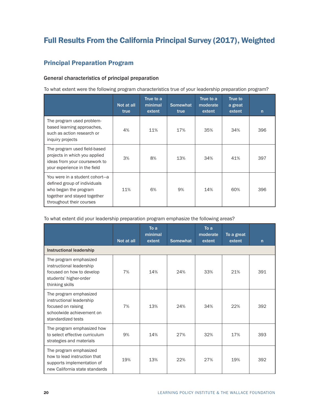# <span id="page-23-0"></span>Full Results From the California Principal Survey (2017), Weighted

## Principal Preparation Program

#### General characteristics of principal preparation

To what extent were the following program characteristics true of your leadership preparation program?

|                                                                                                                                                     | Not at all<br>true | True to a<br>minimal<br>extent | <b>Somewhat</b><br>true | True to a<br>moderate<br>extent | True to<br>a great<br>extent | $\mathsf{n}$ |
|-----------------------------------------------------------------------------------------------------------------------------------------------------|--------------------|--------------------------------|-------------------------|---------------------------------|------------------------------|--------------|
| The program used problem-<br>based learning approaches,<br>such as action research or<br>inquiry projects                                           | 4%                 | 11%                            | 17%                     | 35%                             | 34%                          | 396          |
| The program used field-based<br>projects in which you applied<br>ideas from your coursework to<br>your experience in the field                      | 3%                 | 8%                             | 13%                     | 34%                             | 41%                          | 397          |
| You were in a student cohort-a<br>defined group of individuals<br>who began the program<br>together and stayed together<br>throughout their courses | 11%                | 6%                             | 9%                      | 14%                             | 60%                          | 396          |

To what extent did your leadership preparation program emphasize the following areas?

|                                                                                                                              | Not at all | To a<br>minimal<br>extent | <b>Somewhat</b> | To a<br>moderate<br>extent | To a great<br>extent | $\mathsf{n}$ |
|------------------------------------------------------------------------------------------------------------------------------|------------|---------------------------|-----------------|----------------------------|----------------------|--------------|
| Instructional leadership                                                                                                     |            |                           |                 |                            |                      |              |
| The program emphasized<br>instructional leadership<br>focused on how to develop<br>students' higher-order<br>thinking skills | 7%         | 14%                       | 24%             | 33%                        | 21%                  | 391          |
| The program emphasized<br>instructional leadership<br>focused on raising<br>schoolwide achievement on<br>standardized tests  | 7%         | 13%                       | 24%             | 34%                        | 22%                  | 392          |
| The program emphasized how<br>to select effective curriculum<br>strategies and materials                                     | 9%         | 14%                       | 27%             | 32%                        | 17%                  | 393          |
| The program emphasized<br>how to lead instruction that<br>supports implementation of<br>new California state standards       | 19%        | 13%                       | 22%             | 27%                        | 19%                  | 392          |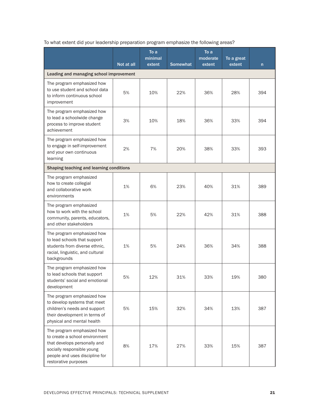|                                                                                                                                                                                      | Not at all | To a<br>minimal<br>extent | <b>Somewhat</b> | To a<br>moderate<br>extent | To a great<br>extent | $\mathsf{n}$ |
|--------------------------------------------------------------------------------------------------------------------------------------------------------------------------------------|------------|---------------------------|-----------------|----------------------------|----------------------|--------------|
| Leading and managing school improvement                                                                                                                                              |            |                           |                 |                            |                      |              |
| The program emphasized how<br>to use student and school data<br>to inform continuous school<br>improvement                                                                           | 5%         | 10%                       | 22%             | 36%                        | 28%                  | 394          |
| The program emphasized how<br>to lead a schoolwide change<br>process to improve student<br>achievement                                                                               | 3%         | 10%                       | 18%             | 36%                        | 33%                  | 394          |
| The program emphasized how<br>to engage in self-improvement<br>and your own continuous<br>learning                                                                                   | 2%         | 7%                        | 20%             | 38%                        | 33%                  | 393          |
| Shaping teaching and learning conditions                                                                                                                                             |            |                           |                 |                            |                      |              |
| The program emphasized<br>how to create collegial<br>and collaborative work<br>environments                                                                                          | 1%         | 6%                        | 23%             | 40%                        | 31%                  | 389          |
| The program emphasized<br>how to work with the school<br>community, parents, educators,<br>and other stakeholders                                                                    | 1%         | 5%                        | 22%             | 42%                        | 31%                  | 388          |
| The program emphasized how<br>to lead schools that support<br>students from diverse ethnic,<br>racial, linguistic, and cultural<br>backgrounds                                       | 1%         | 5%                        | 24%             | 36%                        | 34%                  | 388          |
| The program emphasized how<br>to lead schools that support<br>students' social and emotional<br>development                                                                          | 5%         | 12%                       | 31%             | 33%                        | 19%                  | 380          |
| The program emphasized how<br>to develop systems that meet<br>children's needs and support<br>their development in terms of<br>physical and mental health                            | 5%         | 15%                       | 32%             | 34%                        | 13%                  | 387          |
| The program emphasized how<br>to create a school environment<br>that develops personally and<br>socially responsible young<br>people and uses discipline for<br>restorative purposes | 8%         | 17%                       | 27%             | 33%                        | 15%                  | 387          |

To what extent did your leadership preparation program emphasize the following areas?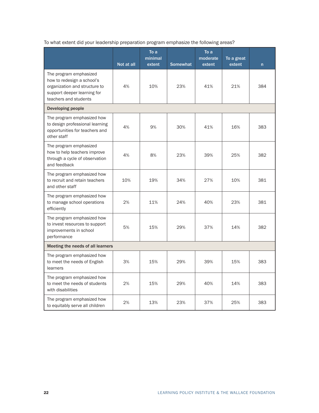To what extent did your leadership preparation program emphasize the following areas?

|                                                                                                                                               | Not at all | To a<br>minimal<br>extent | <b>Somewhat</b> | To a<br>moderate<br>extent | To a great<br>extent | n   |
|-----------------------------------------------------------------------------------------------------------------------------------------------|------------|---------------------------|-----------------|----------------------------|----------------------|-----|
| The program emphasized<br>how to redesign a school's<br>organization and structure to<br>support deeper learning for<br>teachers and students | 4%         | 10%                       | 23%             | 41%                        | 21%                  | 384 |
| Developing people                                                                                                                             |            |                           |                 |                            |                      |     |
| The program emphasized how<br>to design professional learning<br>opportunities for teachers and<br>other staff                                | 4%         | 9%                        | 30%             | 41%                        | 16%                  | 383 |
| The program emphasized<br>how to help teachers improve<br>through a cycle of observation<br>and feedback                                      | 4%         | 8%                        | 23%             | 39%                        | 25%                  | 382 |
| The program emphasized how<br>to recruit and retain teachers<br>and other staff                                                               | 10%        | 19%                       | 34%             | 27%                        | 10%                  | 381 |
| The program emphasized how<br>to manage school operations<br>efficiently                                                                      | 2%         | 11%                       | 24%             | 40%                        | 23%                  | 381 |
| The program emphasized how<br>to invest resources to support<br>improvements in school<br>performance                                         | 5%         | 15%                       | 29%             | 37%                        | 14%                  | 382 |
| Meeting the needs of all learners                                                                                                             |            |                           |                 |                            |                      |     |
| The program emphasized how<br>to meet the needs of English<br>learners                                                                        | 3%         | 15%                       | 29%             | 39%                        | 15%                  | 383 |
| The program emphasized how<br>to meet the needs of students<br>with disabilities                                                              | 2%         | 15%                       | 29%             | 40%                        | 14%                  | 383 |
| The program emphasized how<br>to equitably serve all children                                                                                 | 2%         | 13%                       | 23%             | 37%                        | 25%                  | 383 |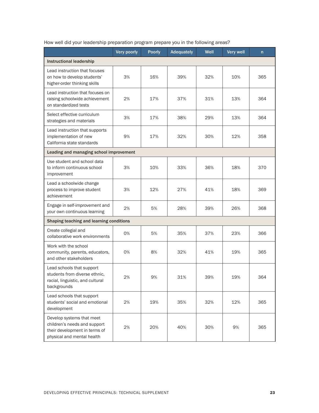|                                                                                                                          | Very poorly | <b>Poorly</b> | Adequately | Well | <b>Very well</b> | $\mathsf{n}$ |
|--------------------------------------------------------------------------------------------------------------------------|-------------|---------------|------------|------|------------------|--------------|
| <b>Instructional leadership</b>                                                                                          |             |               |            |      |                  |              |
| Lead instruction that focuses<br>on how to develop students'<br>higher-order thinking skills                             | 3%          | 16%           | 39%        | 32%  | 10%              | 365          |
| Lead instruction that focuses on<br>raising schoolwide achievement<br>on standardized tests                              | 2%          | 17%           | 37%        | 31%  | 13%              | 364          |
| Select effective curriculum<br>strategies and materials                                                                  | 3%          | 17%           | 38%        | 29%  | 13%              | 364          |
| Lead instruction that supports<br>implementation of new<br>California state standards                                    | 9%          | 17%           | 32%        | 30%  | 12%              | 358          |
| Leading and managing school improvement                                                                                  |             |               |            |      |                  |              |
| Use student and school data<br>to inform continuous school<br>improvement                                                | 3%          | 10%           | 33%        | 36%  | 18%              | 370          |
| Lead a schoolwide change<br>process to improve student<br>achievement                                                    | 3%          | 12%           | 27%        | 41%  | 18%              | 369          |
| Engage in self-improvement and<br>your own continuous learning                                                           | 2%          | 5%            | 28%        | 39%  | 26%              | 368          |
| Shaping teaching and learning conditions                                                                                 |             |               |            |      |                  |              |
| Create collegial and<br>collaborative work environments                                                                  | 0%          | 5%            | 35%        | 37%  | 23%              | 366          |
| Work with the school<br>community, parents, educators,<br>and other stakeholders                                         | 0%          | 8%            | 32%        | 41%  | 19%              | 365          |
| Lead schools that support<br>students from diverse ethnic,<br>racial, linguistic, and cultural<br>backgrounds            | 2%          | 9%            | 31%        | 39%  | 19%              | 364          |
| Lead schools that support<br>students' social and emotional<br>development                                               | 2%          | 19%           | 35%        | 32%  | 12%              | 365          |
| Develop systems that meet<br>children's needs and support<br>their development in terms of<br>physical and mental health | 2%          | 20%           | 40%        | 30%  | 9%               | 365          |

How well did your leadership preparation program prepare you in the following areas?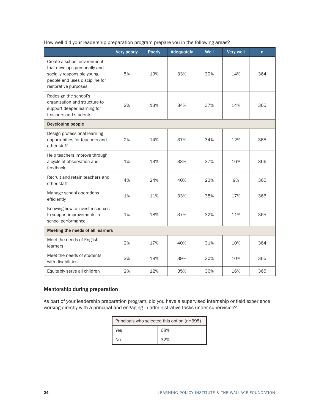|                                                                                                                                                     | Very poorly | <b>Poorly</b> | <b>Adequately</b> | Well | <b>Very well</b> | $\mathsf{n}$ |
|-----------------------------------------------------------------------------------------------------------------------------------------------------|-------------|---------------|-------------------|------|------------------|--------------|
| Create a school environment<br>that develops personally and<br>socially responsible young<br>people and uses discipline for<br>restorative purposes | 5%          | 19%           | 33%               | 30%  | 14%              | 364          |
| Redesign the school's<br>organization and structure to<br>support deeper learning for<br>teachers and students                                      | 2%          | 13%           | 34%               | 37%  | 14%              | 365          |
| Developing people                                                                                                                                   |             |               |                   |      |                  |              |
| Design professional learning<br>opportunities for teachers and<br>other staff                                                                       | 2%          | 14%           | 37%               | 34%  | 12%              | 365          |
| Help teachers improve through<br>a cycle of observation and<br>feedback                                                                             | 1%          | 13%           | 33%               | 37%  | 16%              | 366          |
| Recruit and retain teachers and<br>other staff                                                                                                      | 4%          | 24%           | 40%               | 23%  | 9%               | 365          |
| Manage school operations<br>efficiently                                                                                                             | 1%          | 11%           | 33%               | 38%  | 17%              | 366          |
| Knowing how to invest resources<br>to support improvements in<br>school performance                                                                 | 1%          | 18%           | 37%               | 32%  | 11%              | 365          |
| Meeting the needs of all learners                                                                                                                   |             |               |                   |      |                  |              |
| Meet the needs of English<br>learners                                                                                                               | 2%          | 17%           | 40%               | 31%  | 10%              | 364          |
| Meet the needs of students<br>with disabilities                                                                                                     | 3%          | 18%           | 39%               | 30%  | 10%              | 365          |
| Equitably serve all children                                                                                                                        | 2%          | 12%           | 35%               | 36%  | 16%              | 365          |

How well did your leadership preparation program prepare you in the following areas?

#### Mentorship during preparation

As part of your leadership preparation program, did you have a supervised internship or field experience working directly with a principal and engaging in administrative tasks under supervision?

| Principals who selected this option (n=395) |     |  |  |
|---------------------------------------------|-----|--|--|
| Yes                                         | 68% |  |  |
| N٥                                          | 32% |  |  |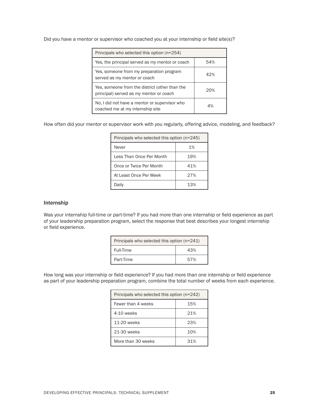Did you have a mentor or supervisor who coached you at your internship or field site(s)?

| Principals who selected this option (n=254)                                               |     |
|-------------------------------------------------------------------------------------------|-----|
| Yes, the principal served as my mentor or coach                                           | 54% |
| Yes, someone from my preparation program<br>served as my mentor or coach                  | 42% |
| Yes, someone from the district (other than the<br>principal) served as my mentor or coach | 20% |
| No, I did not have a mentor or supervisor who<br>coached me at my internship site         | 4%  |

How often did your mentor or supervisor work with you regularly, offering advice, modeling, and feedback?

| Principals who selected this option (n=245) |      |  |  |
|---------------------------------------------|------|--|--|
| Never                                       | 1%   |  |  |
| Less Than Once Per Month                    | 19%  |  |  |
| Once or Twice Per Month                     | 41%  |  |  |
| At Least Once Per Week                      | 27%  |  |  |
| Daily                                       | 1.3% |  |  |

#### Internship

Was your internship full-time or part-time? If you had more than one internship or field experience as part of your leadership preparation program, select the response that best describes your longest internship or field experience.

| Principals who selected this option (n=241) |     |  |  |
|---------------------------------------------|-----|--|--|
| Full-Time                                   | 43% |  |  |
| Part-Time                                   | 57% |  |  |

How long was your internship or field experience? If you had more than one internship or field experience as part of your leadership preparation program, combine the total number of weeks from each experience.

| Principals who selected this option (n=242) |      |  |  |
|---------------------------------------------|------|--|--|
| Fewer than 4 weeks                          | 15%  |  |  |
| 4-10 weeks                                  | 21%  |  |  |
| 11-20 weeks                                 | 23%  |  |  |
| 21-30 weeks                                 | 10%  |  |  |
| More than 30 weeks                          | .31% |  |  |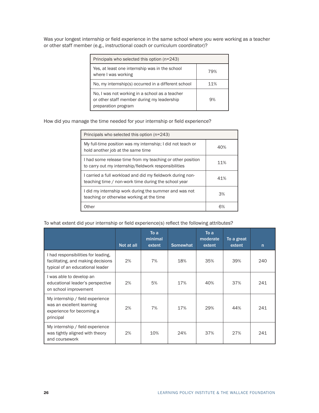Was your longest internship or field experience in the same school where you were working as a teacher or other staff member (e.g., instructional coach or curriculum coordinator)?

| Principals who selected this option (n=243)                                                                         |     |
|---------------------------------------------------------------------------------------------------------------------|-----|
| Yes, at least one internship was in the school<br>where I was working                                               | 79% |
| No, my internship(s) occurred in a different school                                                                 | 11% |
| No, I was not working in a school as a teacher<br>or other staff member during my leadership<br>preparation program | 9%  |

How did you manage the time needed for your internship or field experience?

| Principals who selected this option (n=243)                                                                         |     |
|---------------------------------------------------------------------------------------------------------------------|-----|
| My full-time position was my internship; I did not teach or<br>hold another job at the same time                    | 40% |
| I had some release time from my teaching or other position<br>to carry out my internship/fieldwork responsibilities | 11% |
| I carried a full workload and did my fieldwork during non-<br>teaching time / non-work time during the school year  | 41% |
| I did my internship work during the summer and was not<br>teaching or otherwise working at the time                 | 3%  |
| Other                                                                                                               | 6%  |

#### To what extent did your internship or field experience(s) reflect the following attributes?

|                                                                                                               | Not at all | To a<br>minimal<br>extent | <b>Somewhat</b> | To a<br>moderate<br>extent | To a great<br>extent | $\mathsf{n}$ |
|---------------------------------------------------------------------------------------------------------------|------------|---------------------------|-----------------|----------------------------|----------------------|--------------|
| I had responsibilities for leading,<br>facilitating, and making decisions<br>typical of an educational leader | 2%         | 7%                        | 18%             | 35%                        | 39%                  | 240          |
| I was able to develop an<br>educational leader's perspective<br>on school improvement                         | 2%         | 5%                        | 17%             | 40%                        | 37%                  | 241          |
| My internship / field experience<br>was an excellent learning<br>experience for becoming a<br>principal       | 2%         | 7%                        | 17%             | 29%                        | 44%                  | 241          |
| My internship / field experience<br>was tightly aligned with theory<br>and coursework                         | 2%         | 10%                       | 24%             | 37%                        | 27%                  | 241          |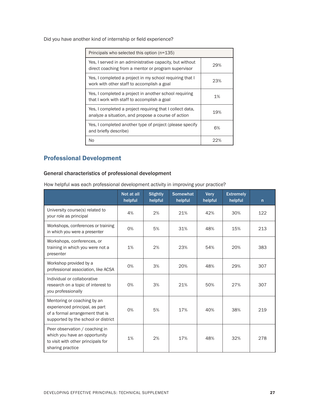<span id="page-30-0"></span>Did you have another kind of internship or field experience?

| Principals who selected this option (n=135)                                                                      |     |
|------------------------------------------------------------------------------------------------------------------|-----|
| Yes, I served in an administrative capacity, but without<br>direct coaching from a mentor or program supervisor  | 29% |
| Yes, I completed a project in my school requiring that I<br>work with other staff to accomplish a goal           | 23% |
| Yes, I completed a project in another school requiring<br>that I work with staff to accomplish a goal            | 1%  |
| Yes, I completed a project requiring that I collect data,<br>analyze a situation, and propose a course of action | 19% |
| Yes, I completed another type of project (please specify<br>and briefly describe)                                | 6%  |
| No                                                                                                               | つつ% |

## Professional Development

## General characteristics of professional development

How helpful was each professional development activity in improving your practice?

|                                                                                                                                         | Not at all<br>helpful | <b>Slightly</b><br>helpful | <b>Somewhat</b><br>helpful | <b>Very</b><br>helpful | <b>Extremely</b><br>helpful | n   |
|-----------------------------------------------------------------------------------------------------------------------------------------|-----------------------|----------------------------|----------------------------|------------------------|-----------------------------|-----|
| University course(s) related to<br>your role as principal                                                                               | 4%                    | 2%                         | 21%                        | 42%                    | 30%                         | 122 |
| Workshops, conferences or training<br>in which you were a presenter                                                                     | 0%                    | 5%                         | 31%                        | 48%                    | 15%                         | 213 |
| Workshops, conferences, or<br>training in which you were not a<br>presenter                                                             | 1%                    | 2%                         | 23%                        | 54%                    | 20%                         | 383 |
| Workshop provided by a<br>professional association, like ACSA                                                                           | 0%                    | 3%                         | 20%                        | 48%                    | 29%                         | 307 |
| Individual or collaborative<br>research on a topic of interest to<br>you professionally                                                 | 0%                    | 3%                         | 21%                        | 50%                    | 27%                         | 307 |
| Mentoring or coaching by an<br>experienced principal, as part<br>of a formal arrangement that is<br>supported by the school or district | 0%                    | 5%                         | 17%                        | 40%                    | 38%                         | 219 |
| Peer observation / coaching in<br>which you have an opportunity<br>to visit with other principals for<br>sharing practice               | 1%                    | 2%                         | 17%                        | 48%                    | 32%                         | 278 |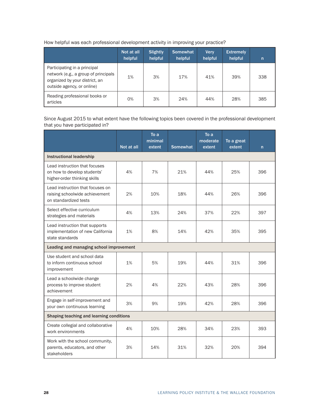|  |  | How helpful was each professional development activity in improving your practice? |  |
|--|--|------------------------------------------------------------------------------------|--|
|  |  |                                                                                    |  |

|                                                                                                                                      | Not at all<br>helpful | <b>Slightly</b><br>helpful | <b>Somewhat</b><br>helpful | <b>Verv</b><br>helpful | <b>Extremely</b><br>helpful | n   |
|--------------------------------------------------------------------------------------------------------------------------------------|-----------------------|----------------------------|----------------------------|------------------------|-----------------------------|-----|
| Participating in a principal<br>network (e.g., a group of principals<br>organized by your district, an<br>outside agency, or online) | 1%                    | 3%                         | 17%                        | 41%                    | 39%                         | 338 |
| Reading professional books or<br>articles                                                                                            | 0%                    | 3%                         | 24%                        | 44%                    | 28%                         | 385 |

Since August 2015 to what extent have the following topics been covered in the professional development that you have participated in?

|                                                                                              | Not at all | To a<br>minimal<br>extent | <b>Somewhat</b> | $\overline{I}$ o a<br>moderate<br>extent | To a great<br>extent | n   |
|----------------------------------------------------------------------------------------------|------------|---------------------------|-----------------|------------------------------------------|----------------------|-----|
| <b>Instructional leadership</b>                                                              |            |                           |                 |                                          |                      |     |
| Lead instruction that focuses<br>on how to develop students'<br>higher-order thinking skills | 4%         | 7%                        | 21%             | 44%                                      | 25%                  | 396 |
| Lead instruction that focuses on<br>raising schoolwide achievement<br>on standardized tests  | 2%         | 10%                       | 18%             | 44%                                      | 26%                  | 396 |
| Select effective curriculum<br>strategies and materials                                      | 4%         | 13%                       | 24%             | 37%                                      | 22%                  | 397 |
| Lead instruction that supports<br>implementation of new California<br>state standards        | 1%         | 8%                        | 14%             | 42%                                      | 35%                  | 395 |
| Leading and managing school improvement                                                      |            |                           |                 |                                          |                      |     |
| Use student and school data<br>to inform continuous school<br>improvement                    | 1%         | 5%                        | 19%             | 44%                                      | 31%                  | 396 |
| Lead a schoolwide change<br>process to improve student<br>achievement                        | 2%         | 4%                        | 22%             | 43%                                      | 28%                  | 396 |
| Engage in self-improvement and<br>your own continuous learning                               | 3%         | 9%                        | 19%             | 42%                                      | 28%                  | 396 |
| Shaping teaching and learning conditions                                                     |            |                           |                 |                                          |                      |     |
| Create collegial and collaborative<br>work environments                                      | 4%         | 10%                       | 28%             | 34%                                      | 23%                  | 393 |
| Work with the school community,<br>parents, educators, and other<br>stakeholders             | 3%         | 14%                       | 31%             | 32%                                      | 20%                  | 394 |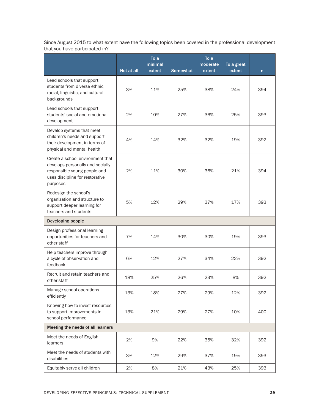Since August 2015 to what extent have the following topics been covered in the professional development that you have participated in?

|                                                                                                                                                     | Not at all | To a<br>minimal<br>extent | <b>Somewhat</b> | To a<br>moderate<br>extent | To a great<br>extent | n   |
|-----------------------------------------------------------------------------------------------------------------------------------------------------|------------|---------------------------|-----------------|----------------------------|----------------------|-----|
| Lead schools that support<br>students from diverse ethnic,<br>racial, linguistic, and cultural<br>backgrounds                                       | 3%         | 11%                       | 25%             | 38%                        | 24%                  | 394 |
| Lead schools that support<br>students' social and emotional<br>development                                                                          | 2%         | 10%                       | 27%             | 36%                        | 25%                  | 393 |
| Develop systems that meet<br>children's needs and support<br>their development in terms of<br>physical and mental health                            | 4%         | 14%                       | 32%             | 32%                        | 19%                  | 392 |
| Create a school environment that<br>develops personally and socially<br>responsible young people and<br>uses discipline for restorative<br>purposes | 2%         | 11%                       | 30%             | 36%                        | 21%                  | 394 |
| Redesign the school's<br>organization and structure to<br>support deeper learning for<br>teachers and students                                      | 5%         | 12%                       | 29%             | 37%                        | 17%                  | 393 |
| <b>Developing people</b>                                                                                                                            |            |                           |                 |                            |                      |     |
| Design professional learning<br>opportunities for teachers and<br>other staff                                                                       | 7%         | 14%                       | 30%             | 30%                        | 19%                  | 393 |
| Help teachers improve through<br>a cycle of observation and<br>feedback                                                                             | 6%         | 12%                       | 27%             | 34%                        | 22%                  | 392 |
| Recruit and retain teachers and<br>other staff                                                                                                      | 18%        | 25%                       | 26%             | 23%                        | 8%                   | 392 |
| Manage school operations<br>efficiently                                                                                                             | 13%        | 18%                       | 27%             | 29%                        | 12%                  | 392 |
| Knowing how to invest resources<br>to support improvements in<br>school performance                                                                 | 13%        | 21%                       | 29%             | 27%                        | 10%                  | 400 |
| Meeting the needs of all learners                                                                                                                   |            |                           |                 |                            |                      |     |
| Meet the needs of English<br>learners                                                                                                               | 2%         | 9%                        | 22%             | 35%                        | 32%                  | 392 |
| Meet the needs of students with<br>disabilities                                                                                                     | 3%         | 12%                       | 29%             | 37%                        | 19%                  | 393 |
| Equitably serve all children                                                                                                                        | 2%         | 8%                        | 21%             | 43%                        | 25%                  | 393 |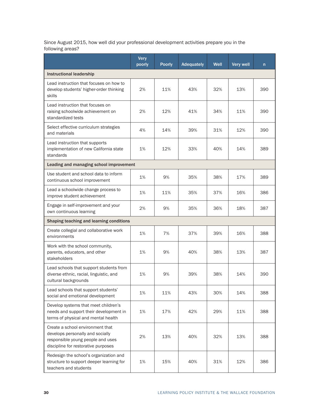Since August 2015, how well did your professional development activities prepare you in the following areas?

|                                                                                                                                                  | <b>Very</b><br>poorly | <b>Poorly</b> | <b>Adequately</b> | Well | <b>Very well</b> | $\mathsf{n}$ |
|--------------------------------------------------------------------------------------------------------------------------------------------------|-----------------------|---------------|-------------------|------|------------------|--------------|
| <b>Instructional leadership</b>                                                                                                                  |                       |               |                   |      |                  |              |
| Lead instruction that focuses on how to<br>develop students' higher-order thinking<br>skills                                                     | 2%                    | 11%           | 43%               | 32%  | 13%              | 390          |
| Lead instruction that focuses on<br>raising schoolwide achievement on<br>standardized tests                                                      | 2%                    | 12%           | 41%               | 34%  | 11%              | 390          |
| Select effective curriculum strategies<br>and materials                                                                                          | 4%                    | 14%           | 39%               | 31%  | 12%              | 390          |
| Lead instruction that supports<br>implementation of new California state<br>standards                                                            | 1%                    | 12%           | 33%               | 40%  | 14%              | 389          |
| Leading and managing school improvement                                                                                                          |                       |               |                   |      |                  |              |
| Use student and school data to inform<br>continuous school improvement                                                                           | 1%                    | 9%            | 35%               | 38%  | 17%              | 389          |
| Lead a schoolwide change process to<br>improve student achievement                                                                               | 1%                    | 11%           | 35%               | 37%  | 16%              | 386          |
| Engage in self-improvement and your<br>own continuous learning                                                                                   | 2%                    | 9%            | 35%               | 36%  | 18%              | 387          |
| Shaping teaching and learning conditions                                                                                                         |                       |               |                   |      |                  |              |
| Create collegial and collaborative work<br>environments                                                                                          | 1%                    | 7%            | 37%               | 39%  | 16%              | 388          |
| Work with the school community,<br>parents, educators, and other<br>stakeholders                                                                 | 1%                    | 9%            | 40%               | 38%  | 13%              | 387          |
| Lead schools that support students from<br>diverse ethnic, racial, linguistic, and<br>cultural backgrounds                                       | 1%                    | 9%            | 39%               | 38%  | 14%              | 390          |
| Lead schools that support students'<br>social and emotional development                                                                          | 1%                    | 11%           | 43%               | 30%  | 14%              | 388          |
| Develop systems that meet children's<br>needs and support their development in<br>terms of physical and mental health                            | 1%                    | 17%           | 42%               | 29%  | 11%              | 388          |
| Create a school environment that<br>develops personally and socially<br>responsible young people and uses<br>discipline for restorative purposes | 2%                    | 13%           | 40%               | 32%  | 13%              | 388          |
| Redesign the school's organization and<br>structure to support deeper learning for<br>teachers and students                                      | 1%                    | 15%           | 40%               | 31%  | 12%              | 386          |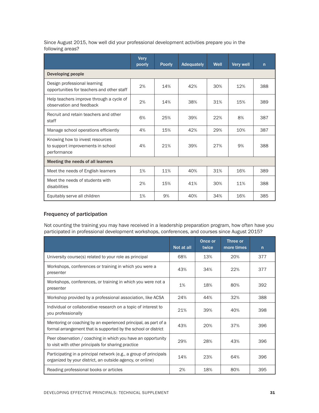Since August 2015, how well did your professional development activities prepare you in the following areas?

|                                                                                     | <b>Very</b><br>poorly | <b>Poorly</b> | Adequately | Well | Very well | $\mathsf{n}$ |
|-------------------------------------------------------------------------------------|-----------------------|---------------|------------|------|-----------|--------------|
| Developing people                                                                   |                       |               |            |      |           |              |
| Design professional learning<br>opportunities for teachers and other staff          | 2%                    | 14%           | 42%        | 30%  | 12%       | 388          |
| Help teachers improve through a cycle of<br>observation and feedback                | 2%                    | 14%           | 38%        | 31%  | 15%       | 389          |
| Recruit and retain teachers and other<br>staff                                      | 6%                    | 25%           | 39%        | 22%  | 8%        | 387          |
| Manage school operations efficiently                                                | 4%                    | 15%           | 42%        | 29%  | 10%       | 387          |
| Knowing how to invest resources<br>to support improvements in school<br>performance | 4%                    | 21%           | 39%        | 27%  | 9%        | 388          |
| Meeting the needs of all learners                                                   |                       |               |            |      |           |              |
| Meet the needs of English learners                                                  | 1%                    | 11%           | 40%        | 31%  | 16%       | 389          |
| Meet the needs of students with<br>disabilities                                     | 2%                    | 15%           | 41%        | 30%  | 11%       | 388          |
| Equitably serve all children                                                        | 1%                    | 9%            | 40%        | 34%  | 16%       | 385          |

#### Frequency of participation

Not counting the training you may have received in a leadership preparation program, how often have you participated in professional development workshops, conferences, and courses since August 2015?

|                                                                                                                                   | Not at all | Once or<br>twice | Three or<br>more times | $\mathsf{n}$ |
|-----------------------------------------------------------------------------------------------------------------------------------|------------|------------------|------------------------|--------------|
| University course(s) related to your role as principal                                                                            | 68%        | 13%              | 20%                    | 377          |
| Workshops, conferences or training in which you were a<br>presenter                                                               | 43%        | 34%              | 22%                    | 377          |
| Workshops, conferences, or training in which you were not a<br>presenter                                                          | 1%         | 18%              | 80%                    | 392          |
| Workshop provided by a professional association, like ACSA                                                                        | 24%        | 44%              | 32%                    | 388          |
| Individual or collaborative research on a topic of interest to<br>you professionally                                              | 21%        | 39%              | 40%                    | 398          |
| Mentoring or coaching by an experienced principal, as part of a<br>formal arrangement that is supported by the school or district | 43%        | 20%              | 37%                    | 396          |
| Peer observation / coaching in which you have an opportunity<br>to visit with other principals for sharing practice               | 29%        | 28%              | 43%                    | 396          |
| Participating in a principal network (e.g., a group of principals<br>organized by your district, an outside agency, or online)    | 14%        | 23%              | 64%                    | 396          |
| Reading professional books or articles                                                                                            | 2%         | 18%              | 80%                    | 395          |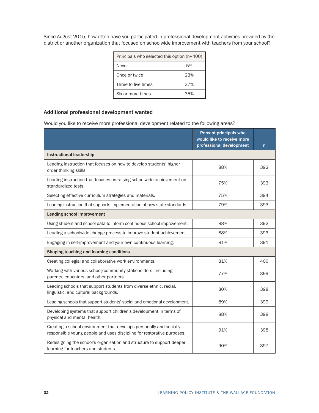Since August 2015, how often have you participated in professional development activities provided by the district or another organization that focused on schoolwide improvement with teachers from your school?

| Principals who selected this option (n=400) |     |  |  |  |
|---------------------------------------------|-----|--|--|--|
| Never                                       | 5%  |  |  |  |
| Once or twice                               | 23% |  |  |  |
| Three to five times                         | 37% |  |  |  |
| Six or more times                           | 35% |  |  |  |

#### Additional professional development wanted

Would you like to receive more professional development related to the following areas?

|                                                                                                                                               | Percent principals who<br>would like to receive more<br>professional development | n.  |
|-----------------------------------------------------------------------------------------------------------------------------------------------|----------------------------------------------------------------------------------|-----|
| <b>Instructional leadership</b>                                                                                                               |                                                                                  |     |
| Leading instruction that focuses on how to develop students' higher<br>order thinking skills.                                                 | 88%                                                                              | 392 |
| Leading instruction that focuses on raising schoolwide achievement on<br>standardized tests.                                                  | 75%                                                                              | 393 |
| Selecting effective curriculum strategies and materials.                                                                                      | 75%                                                                              | 394 |
| Leading instruction that supports implementation of new state standards.                                                                      | 79%                                                                              | 393 |
| <b>Leading school improvement</b>                                                                                                             |                                                                                  |     |
| Using student and school data to inform continuous school improvement.                                                                        | 88%                                                                              | 392 |
| Leading a schoolwide change process to improve student achievement.                                                                           | 88%                                                                              | 393 |
| Engaging in self-improvement and your own continuous learning.                                                                                | 81%                                                                              | 391 |
| Shaping teaching and learning conditions                                                                                                      |                                                                                  |     |
| Creating collegial and collaborative work environments.                                                                                       | 81%                                                                              | 400 |
| Working with various school/community stakeholders, including<br>parents, educators, and other partners.                                      | 77%                                                                              | 399 |
| Leading schools that support students from diverse ethnic, racial,<br>linguistic, and cultural backgrounds.                                   | 80%                                                                              | 398 |
| Leading schools that support students' social and emotional development.                                                                      | 89%                                                                              | 399 |
| Developing systems that support children's development in terms of<br>physical and mental health.                                             | 88%                                                                              | 398 |
| Creating a school environment that develops personally and socially<br>responsible young people and uses discipline for restorative purposes. | 91%                                                                              | 398 |
| Redesigning the school's organization and structure to support deeper<br>learning for teachers and students.                                  | 90%                                                                              | 397 |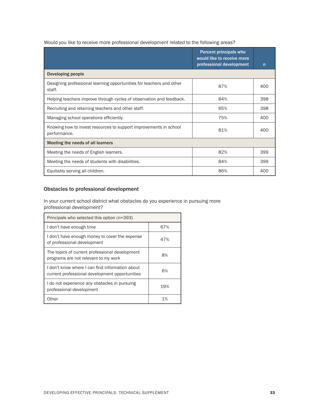| Would you like to receive more professional development related to the following areas? |
|-----------------------------------------------------------------------------------------|
|-----------------------------------------------------------------------------------------|

|                                                                                   | Percent principals who<br>would like to receive more<br>professional development | n   |
|-----------------------------------------------------------------------------------|----------------------------------------------------------------------------------|-----|
| Developing people                                                                 |                                                                                  |     |
| Designing professional learning opportunities for teachers and other<br>staff.    | 87%                                                                              | 400 |
| Helping teachers improve through cycles of observation and feedback.              | 84%                                                                              | 398 |
| Recruiting and retaining teachers and other staff.                                | 65%                                                                              | 398 |
| Managing school operations efficiently.                                           | 75%                                                                              | 400 |
| Knowing how to invest resources to support improvements in school<br>performance. | 81%                                                                              | 400 |
| Meeting the needs of all learners                                                 |                                                                                  |     |
| Meeting the needs of English learners.                                            | 82%                                                                              | 399 |
| Meeting the needs of students with disabilities.                                  | 84%                                                                              | 399 |
| Equitably serving all children.                                                   | 86%                                                                              | 400 |

#### Obstacles to professional development

In your current school district what obstacles do you experience in pursuing more professional development?

| Principals who selected this option (n=393)                                                       |     |  |  |  |  |
|---------------------------------------------------------------------------------------------------|-----|--|--|--|--|
| I don't have enough time                                                                          | 67% |  |  |  |  |
| I don't have enough money to cover the expense<br>of professional development                     | 47% |  |  |  |  |
| The topics of current professional development<br>programs are not relevant to my work            | 8%  |  |  |  |  |
| I don't know where I can find information about<br>current professional development opportunities | 6%  |  |  |  |  |
| I do not experience any obstacles in pursuing<br>professional development                         | 19% |  |  |  |  |
| Other                                                                                             | 1%  |  |  |  |  |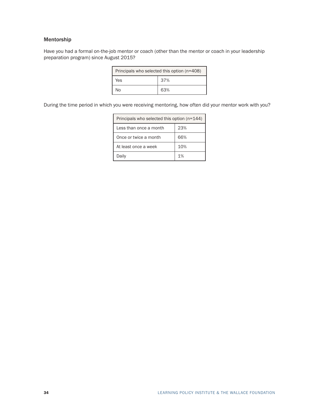#### Mentorship

Have you had a formal on-the-job mentor or coach (other than the mentor or coach in your leadership preparation program) since August 2015?

| Principals who selected this option (n=408) |     |  |  |  |  |
|---------------------------------------------|-----|--|--|--|--|
| Yes                                         | 37% |  |  |  |  |
| N٥                                          | 63% |  |  |  |  |

During the time period in which you were receiving mentoring, how often did your mentor work with you?

| Principals who selected this option $(n=144)$ |     |  |  |  |  |
|-----------------------------------------------|-----|--|--|--|--|
| I ess than once a month                       | 23% |  |  |  |  |
| Once or twice a month                         | 66% |  |  |  |  |
| At least once a week                          | 10% |  |  |  |  |
| Daily                                         | 1%  |  |  |  |  |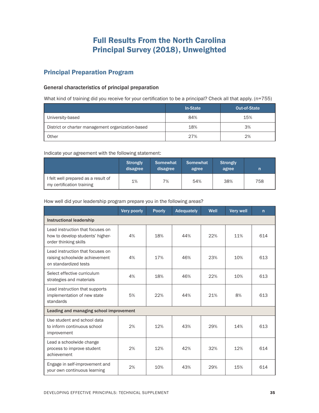# Full Results From the North Carolina Principal Survey (2018), Unweighted

## <span id="page-38-0"></span>Principal Preparation Program

#### General characteristics of principal preparation

What kind of training did you receive for your certification to be a principal? Check all that apply. (n=755)

|                                                   | In-State | Out-of-State |
|---------------------------------------------------|----------|--------------|
| University-based                                  | 84%      | 15%          |
| District or charter management organization-based | 18%      | 3%           |
| Other                                             | 27%      | 2%           |

Indicate your agreement with the following statement:

|                                                                  | <b>Strongly</b><br>disagree | Somewhat<br>disagree | Somewhat<br>agree | <b>Strongly</b><br>agree | n   |
|------------------------------------------------------------------|-----------------------------|----------------------|-------------------|--------------------------|-----|
| I felt well prepared as a result of<br>my certification training | 1%                          | 7%                   | 54%               | 38%                      | 758 |

How well did your leadership program prepare you in the following areas?

|                                                                                               | Very poorly | <b>Poorly</b> | <b>Adequately</b> | Well | <b>Very well</b> | $\mathsf{n}$ |  |
|-----------------------------------------------------------------------------------------------|-------------|---------------|-------------------|------|------------------|--------------|--|
| <b>Instructional leadership</b>                                                               |             |               |                   |      |                  |              |  |
| Lead instruction that focuses on<br>how to develop students' higher-<br>order thinking skills | 4%          | 18%           | 44%               | 22%  | 11%              | 614          |  |
| Lead instruction that focuses on<br>raising schoolwide achievement<br>on standardized tests   | 4%          | 17%           | 46%               | 23%  | 10%              | 613          |  |
| Select effective curriculum<br>strategies and materials                                       | 4%          | 18%           | 46%               | 22%  | 10%              | 613          |  |
| Lead instruction that supports<br>implementation of new state<br>standards                    | 5%          | 22%           | 44%               | 21%  | 8%               | 613          |  |
| Leading and managing school improvement                                                       |             |               |                   |      |                  |              |  |
| Use student and school data<br>to inform continuous school<br>improvement                     | 2%          | 12%           | 43%               | 29%  | 14%              | 613          |  |
| Lead a schoolwide change<br>process to improve student<br>achievement                         | 2%          | 12%           | 42%               | 32%  | 12%              | 614          |  |
| Engage in self-improvement and<br>your own continuous learning                                | 2%          | 10%           | 43%               | 29%  | 15%              | 614          |  |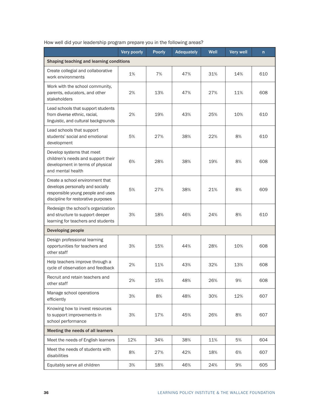|                                                                                                                                                  | Very poorly | <b>Poorly</b> | <b>Adequately</b> | Well | <b>Very well</b> | n   |  |
|--------------------------------------------------------------------------------------------------------------------------------------------------|-------------|---------------|-------------------|------|------------------|-----|--|
| Shaping teaching and learning conditions                                                                                                         |             |               |                   |      |                  |     |  |
| Create collegial and collaborative<br>work environments                                                                                          | 1%          | 7%            | 47%               | 31%  | 14%              | 610 |  |
| Work with the school community.<br>parents, educators, and other<br>stakeholders                                                                 | 2%          | 13%           | 47%               | 27%  | 11%              | 608 |  |
| Lead schools that support students<br>from diverse ethnic, racial,<br>linguistic, and cultural backgrounds                                       | 2%          | 19%           | 43%               | 25%  | 10%              | 610 |  |
| Lead schools that support<br>students' social and emotional<br>development                                                                       | 5%          | 27%           | 38%               | 22%  | 8%               | 610 |  |
| Develop systems that meet<br>children's needs and support their<br>development in terms of physical<br>and mental health                         | 6%          | 28%           | 38%               | 19%  | 8%               | 608 |  |
| Create a school environment that<br>develops personally and socially<br>responsible young people and uses<br>discipline for restorative purposes | 5%          | 27%           | 38%               | 21%  | 8%               | 609 |  |
| Redesign the school's organization<br>and structure to support deeper<br>learning for teachers and students                                      | 3%          | 18%           | 46%               | 24%  | 8%               | 610 |  |
| Developing people                                                                                                                                |             |               |                   |      |                  |     |  |
| Design professional learning<br>opportunities for teachers and<br>other staff                                                                    | 3%          | 15%           | 44%               | 28%  | 10%              | 608 |  |
| Help teachers improve through a<br>cycle of observation and feedback                                                                             | 2%          | 11%           | 43%               | 32%  | 13%              | 608 |  |
| Recruit and retain teachers and<br>other staff                                                                                                   | 2%          | 15%           | 48%               | 26%  | 9%               | 608 |  |
| Manage school operations<br>efficiently                                                                                                          | 3%          | 8%            | 48%               | 30%  | 12%              | 607 |  |
| Knowing how to invest resources<br>to support improvements in<br>school performance                                                              | 3%          | 17%           | 45%               | 26%  | 8%               | 607 |  |
| Meeting the needs of all learners                                                                                                                |             |               |                   |      |                  |     |  |
| Meet the needs of English learners                                                                                                               | 12%         | 34%           | 38%               | 11%  | 5%               | 604 |  |
| Meet the needs of students with<br>disabilities                                                                                                  | 8%          | 27%           | 42%               | 18%  | 6%               | 607 |  |
| Equitably serve all children                                                                                                                     | 3%          | 18%           | 46%               | 24%  | 9%               | 605 |  |

#### How well did your leadership program prepare you in the following areas?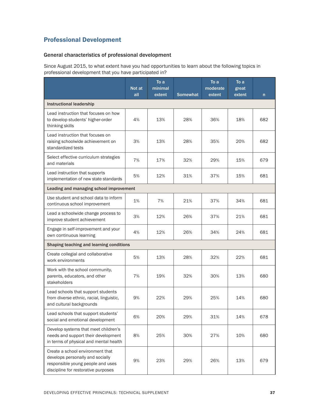## <span id="page-40-0"></span>Professional Development

## General characteristics of professional development

Since August 2015, to what extent have you had opportunities to learn about the following topics in professional development that you have participated in?

|                                                                                                                                                  | Not at<br>all | To a<br>minimal<br>extent | <b>Somewhat</b> | To a<br>moderate<br>extent | To a<br>great<br>extent | n   |  |
|--------------------------------------------------------------------------------------------------------------------------------------------------|---------------|---------------------------|-----------------|----------------------------|-------------------------|-----|--|
| <b>Instructional leadership</b>                                                                                                                  |               |                           |                 |                            |                         |     |  |
| Lead instruction that focuses on how<br>to develop students' higher-order<br>thinking skills                                                     | 4%            | 13%                       | 28%             | 36%                        | 18%                     | 682 |  |
| Lead instruction that focuses on<br>raising schoolwide achievement on<br>standardized tests                                                      | 3%            | 13%                       | 28%             | 35%                        | 20%                     | 682 |  |
| Select effective curriculum strategies<br>and materials                                                                                          | 7%            | 17%                       | 32%             | 29%                        | 15%                     | 679 |  |
| Lead instruction that supports<br>implementation of new state standards                                                                          | 5%            | 12%                       | 31%             | 37%                        | 15%                     | 681 |  |
| Leading and managing school improvement                                                                                                          |               |                           |                 |                            |                         |     |  |
| Use student and school data to inform<br>continuous school improvement                                                                           | 1%            | 7%                        | 21%             | 37%                        | 34%                     | 681 |  |
| Lead a schoolwide change process to<br>improve student achievement                                                                               | 3%            | 12%                       | 26%             | 37%                        | 21%                     | 681 |  |
| Engage in self-improvement and your<br>own continuous learning                                                                                   | 4%            | 12%                       | 26%             | 34%                        | 24%                     | 681 |  |
| Shaping teaching and learning conditions                                                                                                         |               |                           |                 |                            |                         |     |  |
| Create collegial and collaborative<br>work environments                                                                                          | 5%            | 13%                       | 28%             | 32%                        | 22%                     | 681 |  |
| Work with the school community,<br>parents, educators, and other<br>stakeholders                                                                 | 7%            | 19%                       | 32%             | 30%                        | 13%                     | 680 |  |
| Lead schools that support students<br>from diverse ethnic, racial, linguistic,<br>and cultural backgrounds                                       | 9%            | 22%                       | 29%             | 25%                        | 14%                     | 680 |  |
| Lead schools that support students'<br>social and emotional development                                                                          | 6%            | 20%                       | 29%             | 31%                        | 14%                     | 678 |  |
| Develop systems that meet children's<br>needs and support their development<br>in terms of physical and mental health                            | 8%            | 25%                       | 30%             | 27%                        | 10%                     | 680 |  |
| Create a school environment that<br>develops personally and socially<br>responsible young people and uses<br>discipline for restorative purposes | 9%            | 23%                       | 29%             | 26%                        | 13%                     | 679 |  |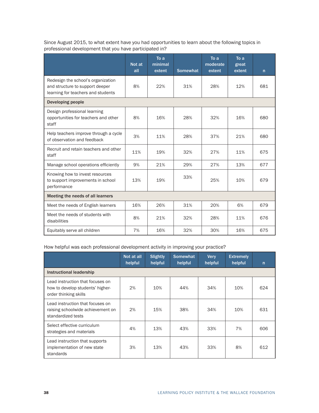Since August 2015, to what extent have you had opportunities to learn about the following topics in professional development that you have participated in?

|                                                                                                             | Not at<br>all | To a<br>minimal<br>extent | <b>Somewhat</b> | To a<br>moderate<br>extent | To a<br>great<br>extent | $\mathsf{n}$ |
|-------------------------------------------------------------------------------------------------------------|---------------|---------------------------|-----------------|----------------------------|-------------------------|--------------|
| Redesign the school's organization<br>and structure to support deeper<br>learning for teachers and students | 8%            | 22%                       | 31%             | 28%                        | 12%                     | 681          |
| Developing people                                                                                           |               |                           |                 |                            |                         |              |
| Design professional learning<br>opportunities for teachers and other<br>staff                               | 8%            | 16%                       | 28%             | 32%                        | 16%                     | 680          |
| Help teachers improve through a cycle<br>of observation and feedback                                        | 3%            | 11%                       | 28%             | 37%                        | 21%                     | 680          |
| Recruit and retain teachers and other<br>staff                                                              | 11%           | 19%                       | 32%             | 27%                        | 11%                     | 675          |
| Manage school operations efficiently                                                                        | 9%            | 21%                       | 29%             | 27%                        | 13%                     | 677          |
| Knowing how to invest resources<br>to support improvements in school<br>performance                         | 13%           | 19%                       | 33%             | 25%                        | 10%                     | 679          |
| Meeting the needs of all learners                                                                           |               |                           |                 |                            |                         |              |
| Meet the needs of English learners                                                                          | 16%           | 26%                       | 31%             | 20%                        | 6%                      | 679          |
| Meet the needs of students with<br>disabilities                                                             | 8%            | 21%                       | 32%             | 28%                        | 11%                     | 676          |
| Equitably serve all children                                                                                | 7%            | 16%                       | 32%             | 30%                        | 16%                     | 675          |

#### How helpful was each professional development activity in improving your practice?

|                                                                                               | Not at all<br>helpful | <b>Slightly</b><br>helpful | <b>Somewhat</b><br>helpful | <b>Very</b><br>helpful | <b>Extremely</b><br>helpful | $\mathsf{n}$ |
|-----------------------------------------------------------------------------------------------|-----------------------|----------------------------|----------------------------|------------------------|-----------------------------|--------------|
| Instructional leadership                                                                      |                       |                            |                            |                        |                             |              |
| Lead instruction that focuses on<br>how to develop students' higher-<br>order thinking skills | 2%                    | 10%                        | 44%                        | 34%                    | 10%                         | 624          |
| Lead instruction that focuses on<br>raising schoolwide achievement on<br>standardized tests   | 2%                    | 15%                        | 38%                        | 34%                    | 10%                         | 631          |
| Select effective curriculum<br>strategies and materials                                       | 4%                    | 13%                        | 43%                        | 33%                    | 7%                          | 606          |
| Lead instruction that supports<br>implementation of new state<br>standards                    | 3%                    | 13%                        | 43%                        | 33%                    | 8%                          | 612          |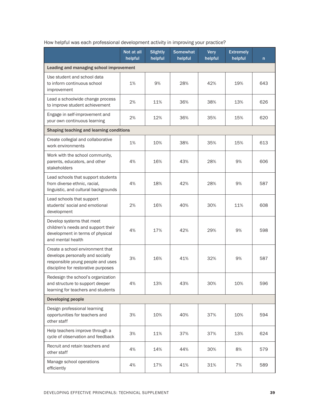|                                                                                                                                                  | Not at all<br>helpful | <b>Slightly</b><br>helpful | <b>Somewhat</b><br>helpful | <b>Very</b><br>helpful | <b>Extremely</b><br>helpful | n   |
|--------------------------------------------------------------------------------------------------------------------------------------------------|-----------------------|----------------------------|----------------------------|------------------------|-----------------------------|-----|
| Leading and managing school improvement                                                                                                          |                       |                            |                            |                        |                             |     |
| Use student and school data<br>to inform continuous school<br>improvement                                                                        | 1%                    | 9%                         | 28%                        | 42%                    | 19%                         | 643 |
| Lead a schoolwide change process<br>to improve student achievement                                                                               | 2%                    | 11%                        | 36%                        | 38%                    | 13%                         | 626 |
| Engage in self-improvement and<br>your own continuous learning                                                                                   | 2%                    | 12%                        | 36%                        | 35%                    | 15%                         | 620 |
| Shaping teaching and learning conditions                                                                                                         |                       |                            |                            |                        |                             |     |
| Create collegial and collaborative<br>work environments                                                                                          | 1%                    | 10%                        | 38%                        | 35%                    | 15%                         | 613 |
| Work with the school community,<br>parents, educators, and other<br>stakeholders                                                                 | 4%                    | 16%                        | 43%                        | 28%                    | 9%                          | 606 |
| Lead schools that support students<br>from diverse ethnic, racial,<br>linguistic, and cultural backgrounds                                       | 4%                    | 18%                        | 42%                        | 28%                    | 9%                          | 587 |
| Lead schools that support<br>students' social and emotional<br>development                                                                       | 2%                    | 16%                        | 40%                        | 30%                    | 11%                         | 608 |
| Develop systems that meet<br>children's needs and support their<br>development in terms of physical<br>and mental health                         | 4%                    | 17%                        | 42%                        | 29%                    | 9%                          | 598 |
| Create a school environment that<br>develops personally and socially<br>responsible young people and uses<br>discipline for restorative purposes | 3%                    | 16%                        | 41%                        | 32%                    | 9%                          | 587 |
| Redesign the school's organization<br>and structure to support deeper<br>learning for teachers and students                                      | 4%                    | 13%                        | 43%                        | 30%                    | 10%                         | 596 |
| <b>Developing people</b>                                                                                                                         |                       |                            |                            |                        |                             |     |
| Design professional learning<br>opportunities for teachers and<br>other staff                                                                    | 3%                    | 10%                        | 40%                        | 37%                    | 10%                         | 594 |
| Help teachers improve through a<br>cycle of observation and feedback                                                                             | 3%                    | 11%                        | 37%                        | 37%                    | 13%                         | 624 |
| Recruit and retain teachers and<br>other staff                                                                                                   | 4%                    | 14%                        | 44%                        | 30%                    | 8%                          | 579 |
| Manage school operations<br>efficiently                                                                                                          | 4%                    | 17%                        | 41%                        | 31%                    | 7%                          | 589 |

## How helpful was each professional development activity in improving your practice?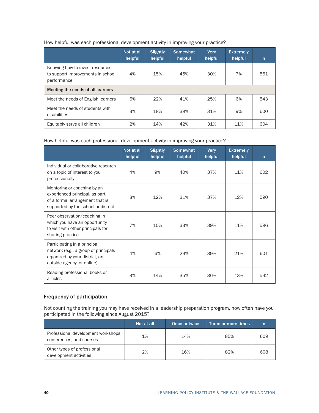|                                                                                     | Not at all<br>helpful | Slightly<br>helpful | <b>Somewhat</b><br>helpful | <b>Verv</b><br>helpful | <b>Extremely</b><br>helpful | n   |
|-------------------------------------------------------------------------------------|-----------------------|---------------------|----------------------------|------------------------|-----------------------------|-----|
| Knowing how to invest resources<br>to support improvements in school<br>performance | 4%                    | 15%                 | 45%                        | 30%                    | 7%                          | 561 |
| Meeting the needs of all learners                                                   |                       |                     |                            |                        |                             |     |
| Meet the needs of English learners                                                  | 6%                    | 22%                 | 41%                        | 25%                    | 6%                          | 543 |
| Meet the needs of students with<br>disabilities                                     | 3%                    | 18%                 | 39%                        | 31%                    | 9%                          | 600 |
| Equitably serve all children                                                        | 2%                    | 14%                 | 42%                        | 31%                    | 11%                         | 604 |

#### How helpful was each professional development activity in improving your practice?

#### How helpful was each professional development activity in improving your practice?

|                                                                                                                                         | Not at all<br>helpful | <b>Slightly</b><br>helpful | <b>Somewhat</b><br>helpful | <b>Very</b><br>helpful | <b>Extremely</b><br>helpful | $\mathsf{n}$ |
|-----------------------------------------------------------------------------------------------------------------------------------------|-----------------------|----------------------------|----------------------------|------------------------|-----------------------------|--------------|
| Individual or collaborative research<br>on a topic of interest to you<br>professionally                                                 | 4%                    | 9%                         | 40%                        | 37%                    | 11%                         | 602          |
| Mentoring or coaching by an<br>experienced principal, as part<br>of a formal arrangement that is<br>supported by the school or district | 8%                    | 12%                        | 31%                        | 37%                    | 12%                         | 590          |
| Peer observation/coaching in<br>which you have an opportunity<br>to visit with other principals for<br>sharing practice                 | 7%                    | 10%                        | 33%                        | 39%                    | 11%                         | 596          |
| Participating in a principal<br>network (e.g., a group of principals<br>organized by your district, an<br>outside agency, or online)    | 4%                    | 6%                         | 29%                        | 39%                    | 21%                         | 601          |
| Reading professional books or<br>articles                                                                                               | 3%                    | 14%                        | 35%                        | 36%                    | 13%                         | 592          |

#### Frequency of participation

Not counting the training you may have received in a leadership preparation program, how often have you participated in the following since August 2015?

|                                                                 | Not at all | Once or twice | Three or more times. |     |
|-----------------------------------------------------------------|------------|---------------|----------------------|-----|
| Professional development workshops,<br>conferences, and courses | 1%         | 14%           | 85%                  | 609 |
| Other types of professional<br>development activities           | 2%         | 16%           | 82%                  | 608 |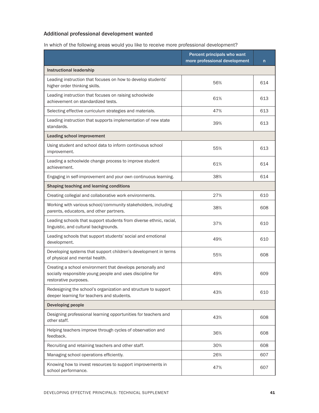## Additional professional development wanted

In which of the following areas would you like to receive more professional development?

|                                                                                                                                                  | Percent principals who want<br>more professional development | n   |
|--------------------------------------------------------------------------------------------------------------------------------------------------|--------------------------------------------------------------|-----|
| <b>Instructional leadership</b>                                                                                                                  |                                                              |     |
| Leading instruction that focuses on how to develop students'<br>higher order thinking skills.                                                    | 56%                                                          | 614 |
| Leading instruction that focuses on raising schoolwide<br>achievement on standardized tests.                                                     | 61%                                                          | 613 |
| Selecting effective curriculum strategies and materials.                                                                                         | 47%                                                          | 613 |
| Leading instruction that supports implementation of new state<br>standards.                                                                      | 39%                                                          | 613 |
| <b>Leading school improvement</b>                                                                                                                |                                                              |     |
| Using student and school data to inform continuous school<br>improvement.                                                                        | 55%                                                          | 613 |
| Leading a schoolwide change process to improve student<br>achievement.                                                                           | 61%                                                          | 614 |
| Engaging in self-improvement and your own continuous learning.                                                                                   | 38%                                                          | 614 |
| Shaping teaching and learning conditions                                                                                                         |                                                              |     |
| Creating collegial and collaborative work environments.                                                                                          | 27%                                                          | 610 |
| Working with various school/community stakeholders, including<br>parents, educators, and other partners.                                         | 38%                                                          | 608 |
| Leading schools that support students from diverse ethnic, racial,<br>linguistic, and cultural backgrounds.                                      | 37%                                                          | 610 |
| Leading schools that support students' social and emotional<br>development.                                                                      | 49%                                                          | 610 |
| Developing systems that support children's development in terms<br>of physical and mental health.                                                | 55%                                                          | 608 |
| Creating a school environment that develops personally and<br>socially responsible young people and uses discipline for<br>restorative purposes. | 49%                                                          | 609 |
| Redesigning the school's organization and structure to support<br>deeper learning for teachers and students.                                     | 43%                                                          | 610 |
| <b>Developing people</b>                                                                                                                         |                                                              |     |
| Designing professional learning opportunities for teachers and<br>other staff.                                                                   | 43%                                                          | 608 |
| Helping teachers improve through cycles of observation and<br>feedback.                                                                          | 36%                                                          | 608 |
| Recruiting and retaining teachers and other staff.                                                                                               | 30%                                                          | 608 |
| Managing school operations efficiently.                                                                                                          | 26%                                                          | 607 |
| Knowing how to invest resources to support improvements in<br>school performance.                                                                | 47%                                                          | 607 |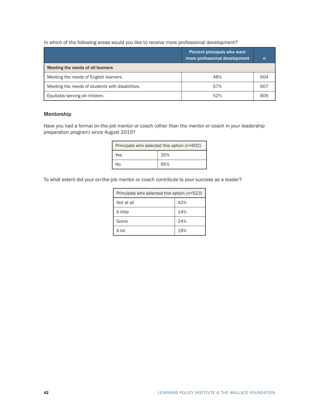In which of the following areas would you like to receive more professional development?

|                                                  | Percent principals who want<br>more professional development | n   |
|--------------------------------------------------|--------------------------------------------------------------|-----|
| Meeting the needs of all learners                |                                                              |     |
| Meeting the needs of English learners.           | 48%                                                          | 604 |
| Meeting the needs of students with disabilities. | 57%                                                          | 607 |
| Equitably serving all children.                  | 52%                                                          | 605 |

#### Mentorship

Have you had a formal on-the-job mentor or coach (other than the mentor or coach in your leadership preparation program) since August 2015?

| Principals who selected this option (n=602) |     |  |  |
|---------------------------------------------|-----|--|--|
| Yes                                         | 35% |  |  |
| N٥                                          | 65% |  |  |

To what extent did your on-the-job mentor or coach contribute to your success as a leader?

| Principals who selected this option (n=523) |     |  |
|---------------------------------------------|-----|--|
| Not at all                                  | 42% |  |
| A little                                    | 14% |  |
| Some                                        | 24% |  |
| A lot                                       | 19% |  |